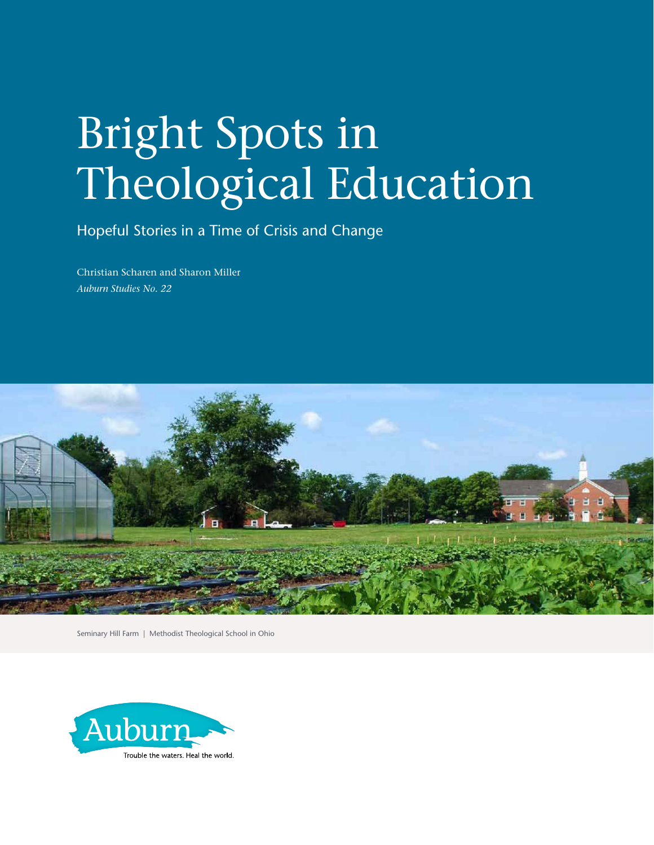# Bright Spots in Theological Education

Hopeful Stories in a Time of Crisis and Change

Christian Scharen and Sharon Miller *Auburn Studies No. 22*



Seminary Hill Farm | Methodist Theological School in Ohio

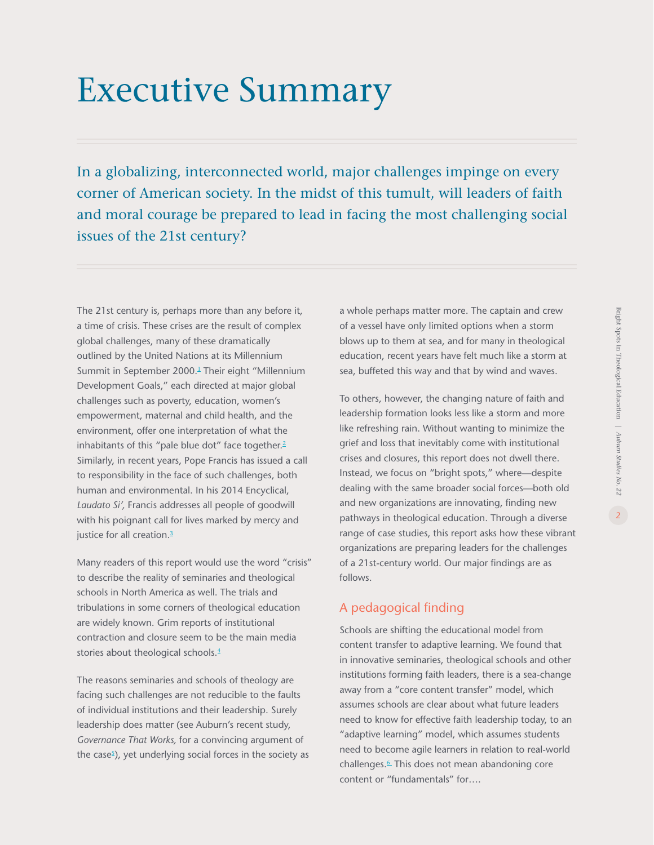# Executive Summary

In a globalizing, interconnected world, major challenges impinge on every corner of American society. In the midst of this tumult, will leaders of faith and moral courage be prepared to lead in facing the most challenging social issues of the 21st century?

The 21st century is, perhaps more than any before it, a time of crisis. These crises are the result of complex global challenges, many of these dramatically outlined by the United Nations at its Millennium Summit in September 2000.<sup>[1](#page-44-0)</sup> Their eight "Millennium Development Goals," each directed at major global challenges such as poverty, education, women's empowerment, maternal and child health, and the environment, offer one interpretation of what the inhabitants of this "pale blue dot" face together.<sup>[2](#page-44-0)</sup> Similarly, in recent years, Pope Francis has issued a call to responsibility in the face of such challenges, both human and environmental. In his 2014 Encyclical, *Laudato Si',* Francis addresses all people of goodwill with his poignant call for lives marked by mercy and justice for all creation.<sup>[3](#page-44-0)</sup>

Many readers of this report would use the word "crisis" to describe the reality of seminaries and theological schools in North America as well. The trials and tribulations in some corners of theological education are widely known. Grim reports of institutional contraction and closure seem to be the main media stories about theological schools.<sup>[4](#page-44-0)</sup>

The reasons seminaries and schools of theology are facing such challenges are not reducible to the faults of individual institutions and their leadership. Surely leadership does matter (see Auburn's recent study, *Governance That Works,* for a convincing argument of the case<sup>s</sup>), yet underlying social forces in the society as a whole perhaps matter more. The captain and crew of a vessel have only limited options when a storm blows up to them at sea, and for many in theological education, recent years have felt much like a storm at sea, buffeted this way and that by wind and waves.

To others, however, the changing nature of faith and leadership formation looks less like a storm and more like refreshing rain. Without wanting to minimize the grief and loss that inevitably come with institutional crises and closures, this report does not dwell there. Instead, we focus on "bright spots," where—despite dealing with the same broader social forces—both old and new organizations are innovating, finding new pathways in theological education. Through a diverse range of case studies, this report asks how these vibrant organizations are preparing leaders for the challenges of a 21st-century world. Our major findings are as follows.

### A pedagogical finding

Schools are shifting the educational model from content transfer to adaptive learning. We found that in innovative seminaries, theological schools and other institutions forming faith leaders, there is a sea-change away from a "core content transfer" model, which assumes schools are clear about what future leaders need to know for effective faith leadership today, to an "adaptive learning" model, which assumes students need to become agile learners in relation to real-world challenges.<sup>[6](#page-44-0)</sup> This does not mean abandoning core content or "fundamentals" for….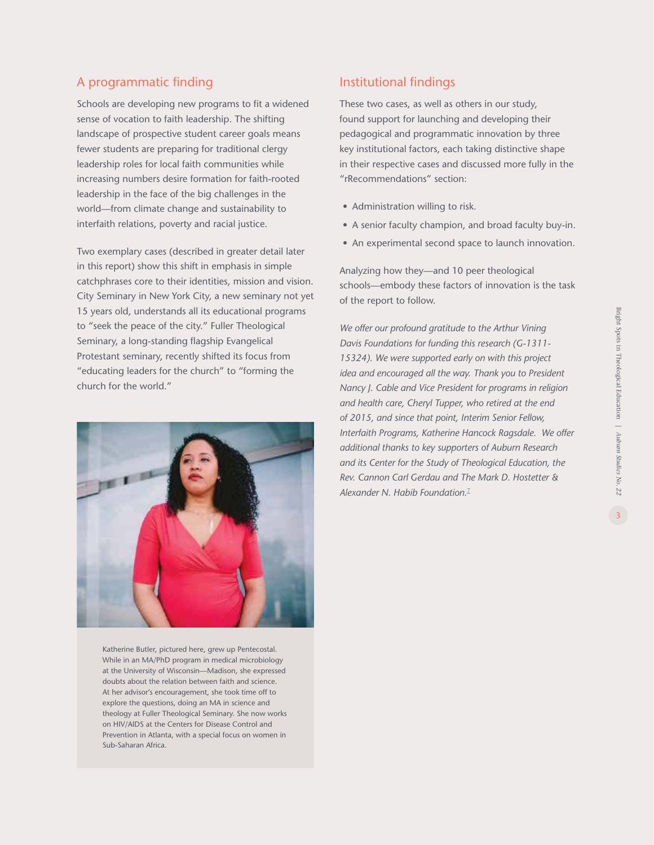### A programmatic finding

Schools are developing new programs to fit a widened sense of vocation to faith leadership. The shifting landscape of prospective student career goals means fewer students are preparing for traditional clergy leadership roles for local faith communities while increasing numbers desire formation for faith-rooted leadership in the face of the big challenges in the world—from climate change and sustainability to interfaith relations, poverty and racial justice.

Two exemplary cases (described in greater detail later in this report) show this shift in emphasis in simple catchphrases core to their identities, mission and vision. City Seminary in New York City, a new seminary not yet 15 years old, understands all its educational programs to "seek the peace of the city." Fuller Theological Seminary, a long-standing flagship Evangelical Protestant seminary, recently shifted its focus from "educating leaders for the church" to "forming the church for the world."



Katherine Butler, pictured here, grew up Pentecostal. While in an MA/PhD program in medical microbiology at the University of Wisconsin—Madison, she expressed doubts about the relation between faith and science. At her advisor's encouragement, she took time off to explore the questions, doing an MA in science and theology at Fuller Theological Seminary. She now works on HIV/AIDS at the Centers for Disease Control and Prevention in Atlanta, with a special focus on women in Sub-Saharan Africa.

### Institutional findings

These two cases, as well as others in our study, found support for launching and developing their pedagogical and programmatic innovation by three key institutional factors, each taking distinctive shape in their respective cases and discussed more fully in the "rRecommendations" section:

- Administration willing to risk.
- A senior faculty champion, and broad faculty buy-in.
- An experimental second space to launch innovation.

Analyzing how they—and 10 peer theological schools—embody these factors of innovation is the task of the report to follow.

*We offer our profound gratitude to the Arthur Vining Davis Foundations for funding this research (G-1311- 15324). We were supported early on with this project idea and encouraged all the way. Thank you to President Nancy J. Cable and Vice President for programs in religion and health care, Cheryl Tupper, who retired at the end of 2015, and since that point, Interim Senior Fellow, Interfaith Programs, Katherine Hancock Ragsdale. We offer additional thanks to key supporters of Auburn Research and its Center for the Study of Theological Education, the Rev. Cannon Carl Gerdau and The Mark D. Hostetter & Alexander N. Habib Foundation.*[7](#page-44-0)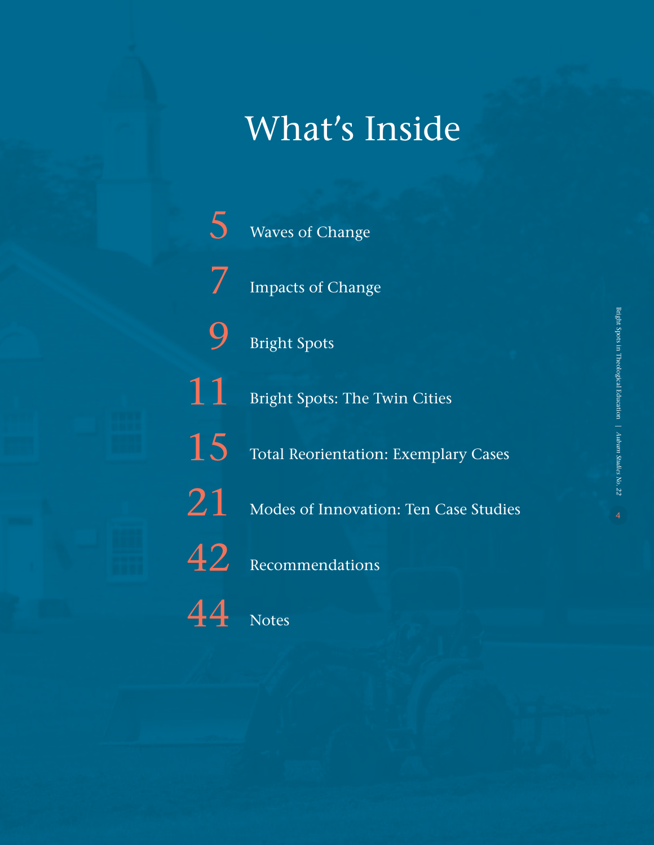## What's Inside

[Waves of Change](#page-4-0)

[5](#page-4-0)

[7](#page-6-0)

[9](#page-8-0)

[Impacts of Change](#page-6-0)

[Bright Spots](#page-8-0)

[Bright Spots: The Twin Cities](#page-10-0) [11](#page-10-0)

[Total Reorientation: Exemplary Cases](#page-14-0) [15](#page-14-0)



 $42$  [Recommendations](#page-41-0)

 $44$  [Notes](#page-43-0)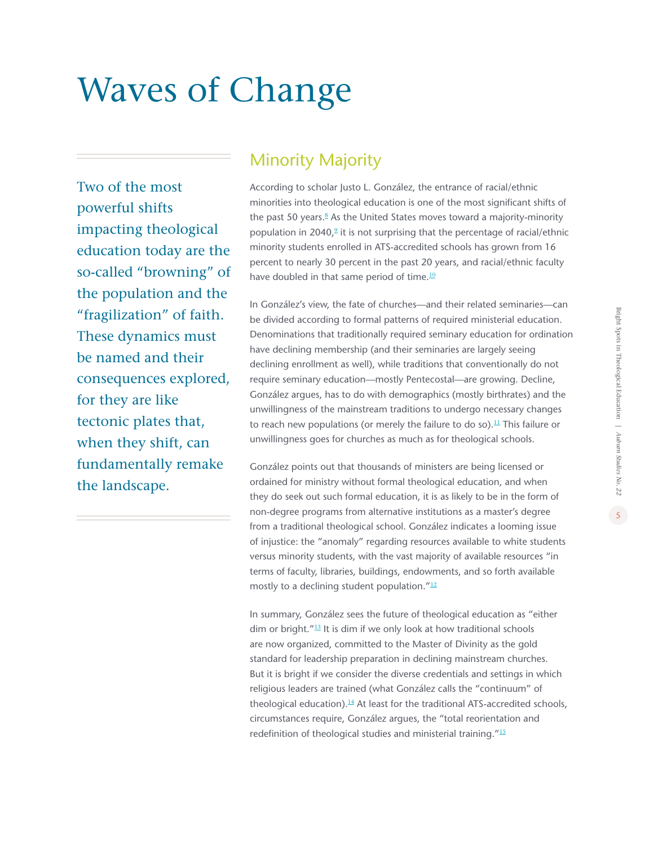# <span id="page-4-0"></span>Waves of Change

Two of the most powerful shifts impacting theological education today are the so-called "browning" of the population and the "fragilization" of faith. These dynamics must be named and their consequences explored, for they are like tectonic plates that, when they shift, can fundamentally remake the landscape.

### Minority Majority

According to scholar Justo L. González, the entrance of racial/ethnic minorities into theological education is one of the most significant shifts of the past 50 years.<sup>[8](#page-44-0)</sup> As the United States moves toward a majority-minority population in 2040, $9$  it is not surprising that the percentage of racial/ethnic minority students enrolled in ATS-accredited schools has grown from 16 percent to nearly 30 percent in the past 20 years, and racial/ethnic faculty have doubled in that same period of time.<sup>[10](#page-44-0)</sup>

In González's view, the fate of churches—and their related seminaries—can be divided according to formal patterns of required ministerial education. Denominations that traditionally required seminary education for ordination have declining membership (and their seminaries are largely seeing declining enrollment as well), while traditions that conventionally do not require seminary education—mostly Pentecostal—are growing. Decline, González argues, has to do with demographics (mostly birthrates) and the unwillingness of the mainstream traditions to undergo necessary changes to reach new populations (or merely the failure to do so).<sup>[11](#page-44-0)</sup> This failure or unwillingness goes for churches as much as for theological schools.

González points out that thousands of ministers are being licensed or ordained for ministry without formal theological education, and when they do seek out such formal education, it is as likely to be in the form of non-degree programs from alternative institutions as a master's degree from a traditional theological school. González indicates a looming issue of injustice: the "anomaly" regarding resources available to white students versus minority students, with the vast majority of available resources "in terms of faculty, libraries, buildings, endowments, and so forth available mostly to a declining student population."<sup>[12](#page-44-0)</sup>

In summary, González sees the future of theological education as "either dim or bright."[13](#page-44-0) It is dim if we only look at how traditional schools are now organized, committed to the Master of Divinity as the gold standard for leadership preparation in declining mainstream churches. But it is bright if we consider the diverse credentials and settings in which religious leaders are trained (what González calls the "continuum" of theological education). $14$  At least for the traditional ATS-accredited schools, circumstances require, González argues, the "total reorientation and redefinition of theological studies and ministerial training."[15](#page-44-0)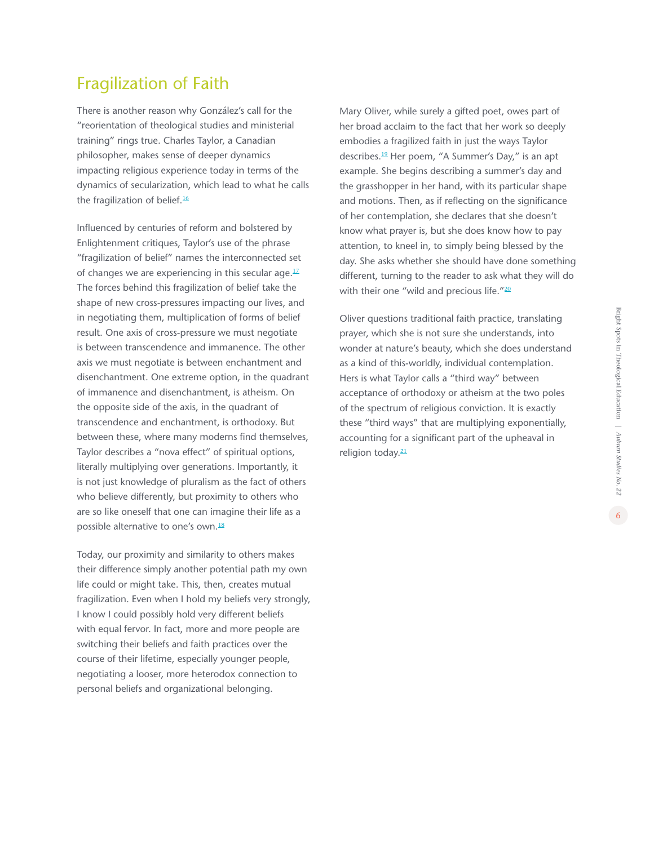### Fragilization of Faith

There is another reason why González's call for the "reorientation of theological studies and ministerial training" rings true. Charles Taylor, a Canadian philosopher, makes sense of deeper dynamics impacting religious experience today in terms of the dynamics of secularization, which lead to what he calls the fragilization of belief.<sup>[16](#page-44-0)</sup>

Influenced by centuries of reform and bolstered by Enlightenment critiques, Taylor's use of the phrase "fragilization of belief" names the interconnected set of changes we are experiencing in this secular age. $17$ The forces behind this fragilization of belief take the shape of new cross-pressures impacting our lives, and in negotiating them, multiplication of forms of belief result. One axis of cross-pressure we must negotiate is between transcendence and immanence. The other axis we must negotiate is between enchantment and disenchantment. One extreme option, in the quadrant of immanence and disenchantment, is atheism. On the opposite side of the axis, in the quadrant of transcendence and enchantment, is orthodoxy. But between these, where many moderns find themselves, Taylor describes a "nova effect" of spiritual options, literally multiplying over generations. Importantly, it is not just knowledge of pluralism as the fact of others who believe differently, but proximity to others who are so like oneself that one can imagine their life as a possible alternative to one's own.<sup>[18](#page-44-0)</sup>

Today, our proximity and similarity to others makes their difference simply another potential path my own life could or might take. This, then, creates mutual fragilization. Even when I hold my beliefs very strongly, I know I could possibly hold very different beliefs with equal fervor. In fact, more and more people are switching their beliefs and faith practices over the course of their lifetime, especially younger people, negotiating a looser, more heterodox connection to personal beliefs and organizational belonging.

Mary Oliver, while surely a gifted poet, owes part of her broad acclaim to the fact that her work so deeply embodies a fragilized faith in just the ways Taylor describes.<sup>[19](#page-44-0)</sup> Her poem, "A Summer's Day," is an apt example. She begins describing a summer's day and the grasshopper in her hand, with its particular shape and motions. Then, as if reflecting on the significance of her contemplation, she declares that she doesn't know what prayer is, but she does know how to pay attention, to kneel in, to simply being blessed by the day. She asks whether she should have done something different, turning to the reader to ask what they will do with their one "wild and precious life." $20$ 

Oliver questions traditional faith practice, translating prayer, which she is not sure she understands, into wonder at nature's beauty, which she does understand as a kind of this-worldly, individual contemplation. Hers is what Taylor calls a "third way" between acceptance of orthodoxy or atheism at the two poles of the spectrum of religious conviction. It is exactly these "third ways" that are multiplying exponentially, accounting for a significant part of the upheaval in religion today.<sup>[21](#page-44-0)</sup>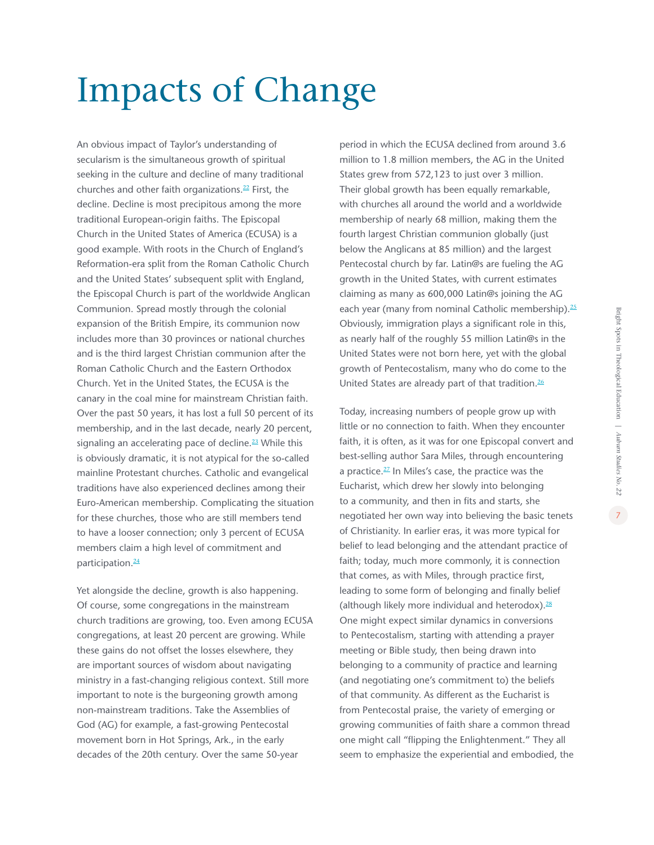# <span id="page-6-0"></span>Impacts of Change

An obvious impact of Taylor's understanding of secularism is the simultaneous growth of spiritual seeking in the culture and decline of many traditional churches and other faith organizations.<sup>[22](#page-44-0)</sup> First, the decline. Decline is most precipitous among the more traditional European-origin faiths. The Episcopal Church in the United States of America (ECUSA) is a good example. With roots in the Church of England's Reformation-era split from the Roman Catholic Church and the United States' subsequent split with England, the Episcopal Church is part of the worldwide Anglican Communion. Spread mostly through the colonial expansion of the British Empire, its communion now includes more than 30 provinces or national churches and is the third largest Christian communion after the Roman Catholic Church and the Eastern Orthodox Church. Yet in the United States, the ECUSA is the canary in the coal mine for mainstream Christian faith. Over the past 50 years, it has lost a full 50 percent of its membership, and in the last decade, nearly 20 percent, signaling an accelerating pace of decline. $23$  While this is obviously dramatic, it is not atypical for the so-called mainline Protestant churches. Catholic and evangelical traditions have also experienced declines among their Euro-American membership. Complicating the situation for these churches, those who are still members tend to have a looser connection; only 3 percent of ECUSA members claim a high level of commitment and participation.<sup>[24](#page-44-0)</sup>

Yet alongside the decline, growth is also happening. Of course, some congregations in the mainstream church traditions are growing, too. Even among ECUSA congregations, at least 20 percent are growing. While these gains do not offset the losses elsewhere, they are important sources of wisdom about navigating ministry in a fast-changing religious context. Still more important to note is the burgeoning growth among non-mainstream traditions. Take the Assemblies of God (AG) for example, a fast-growing Pentecostal movement born in Hot Springs, Ark., in the early decades of the 20th century. Over the same 50-year

period in which the ECUSA declined from around 3.6 million to 1.8 million members, the AG in the United States grew from 572,123 to just over 3 million. Their global growth has been equally remarkable, with churches all around the world and a worldwide membership of nearly 68 million, making them the fourth largest Christian communion globally (just below the Anglicans at 85 million) and the largest Pentecostal church by far. Latin@s are fueling the AG growth in the United States, with current estimates claiming as many as 600,000 Latin@s joining the AG each year (many from nominal Catholic membership).<sup>[25](#page-44-0)</sup> Obviously, immigration plays a significant role in this, as nearly half of the roughly 55 million Latin@s in the United States were not born here, yet with the global growth of Pentecostalism, many who do come to the United States are already part of that tradition.<sup>[26](#page-44-0)</sup>

Today, increasing numbers of people grow up with little or no connection to faith. When they encounter faith, it is often, as it was for one Episcopal convert and best-selling author Sara Miles, through encountering a practice.<sup>[27](#page-44-0)</sup> In Miles's case, the practice was the Eucharist, which drew her slowly into belonging to a community, and then in fits and starts, she negotiated her own way into believing the basic tenets of Christianity. In earlier eras, it was more typical for belief to lead belonging and the attendant practice of faith; today, much more commonly, it is connection that comes, as with Miles, through practice first, leading to some form of belonging and finally belief (although likely more individual and heterodox).<sup>[28](#page-44-0)</sup> One might expect similar dynamics in conversions to Pentecostalism, starting with attending a prayer meeting or Bible study, then being drawn into belonging to a community of practice and learning (and negotiating one's commitment to) the beliefs of that community. As different as the Eucharist is from Pentecostal praise, the variety of emerging or growing communities of faith share a common thread one might call "flipping the Enlightenment." They all seem to emphasize the experiential and embodied, the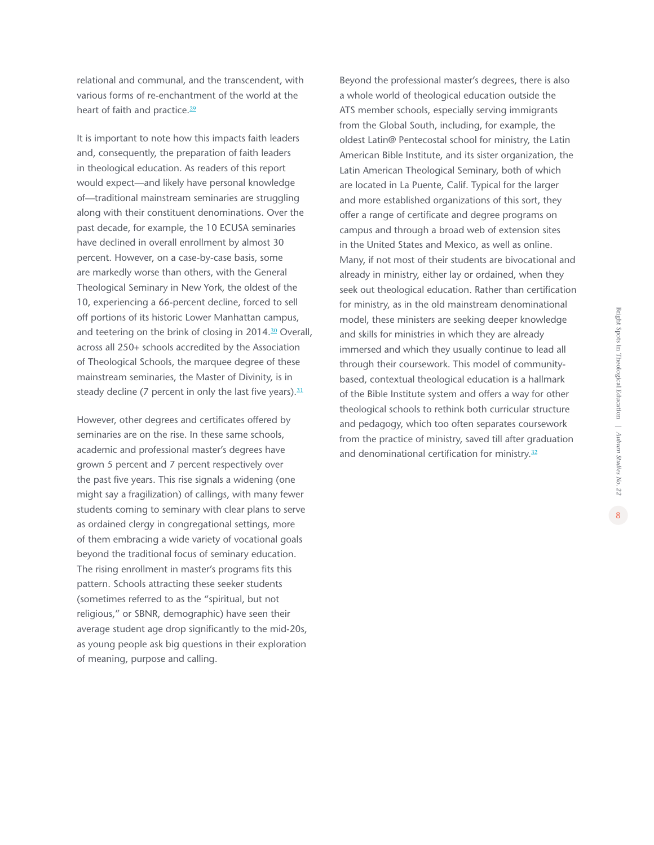*Auburn Studies No. 22*

8

relational and communal, and the transcendent, with various forms of re-enchantment of the world at the heart of faith and practice.<sup>[29](#page-44-0)</sup>

It is important to note how this impacts faith leaders and, consequently, the preparation of faith leaders in theological education. As readers of this report would expect—and likely have personal knowledge of—traditional mainstream seminaries are struggling along with their constituent denominations. Over the past decade, for example, the 10 ECUSA seminaries have declined in overall enrollment by almost 30 percent. However, on a case-by-case basis, some are markedly worse than others, with the General Theological Seminary in New York, the oldest of the 10, experiencing a 66-percent decline, forced to sell off portions of its historic Lower Manhattan campus, and teetering on the brink of closing in 2014.<sup>[30](#page-44-0)</sup> Overall, across all 250+ schools accredited by the Association of Theological Schools, the marquee degree of these mainstream seminaries, the Master of Divinity, is in steady decline (7 percent in only the last five years). $31$ 

However, other degrees and certificates offered by seminaries are on the rise. In these same schools, academic and professional master's degrees have grown 5 percent and 7 percent respectively over the past five years. This rise signals a widening (one might say a fragilization) of callings, with many fewer students coming to seminary with clear plans to serve as ordained clergy in congregational settings, more of them embracing a wide variety of vocational goals beyond the traditional focus of seminary education. The rising enrollment in master's programs fits this pattern. Schools attracting these seeker students (sometimes referred to as the "spiritual, but not religious," or SBNR, demographic) have seen their average student age drop significantly to the mid-20s, as young people ask big questions in their exploration of meaning, purpose and calling.

Beyond the professional master's degrees, there is also a whole world of theological education outside the ATS member schools, especially serving immigrants from the Global South, including, for example, the oldest Latin@ Pentecostal school for ministry, the Latin American Bible Institute, and its sister organization, the Latin American Theological Seminary, both of which are located in La Puente, Calif. Typical for the larger and more established organizations of this sort, they offer a range of certificate and degree programs on campus and through a broad web of extension sites in the United States and Mexico, as well as online. Many, if not most of their students are bivocational and already in ministry, either lay or ordained, when they seek out theological education. Rather than certification for ministry, as in the old mainstream denominational model, these ministers are seeking deeper knowledge and skills for ministries in which they are already immersed and which they usually continue to lead all through their coursework. This model of communitybased, contextual theological education is a hallmark of the Bible Institute system and offers a way for other theological schools to rethink both curricular structure and pedagogy, which too often separates coursework from the practice of ministry, saved till after graduation and denominational certification for ministry.<sup>[32](#page-44-0)</sup>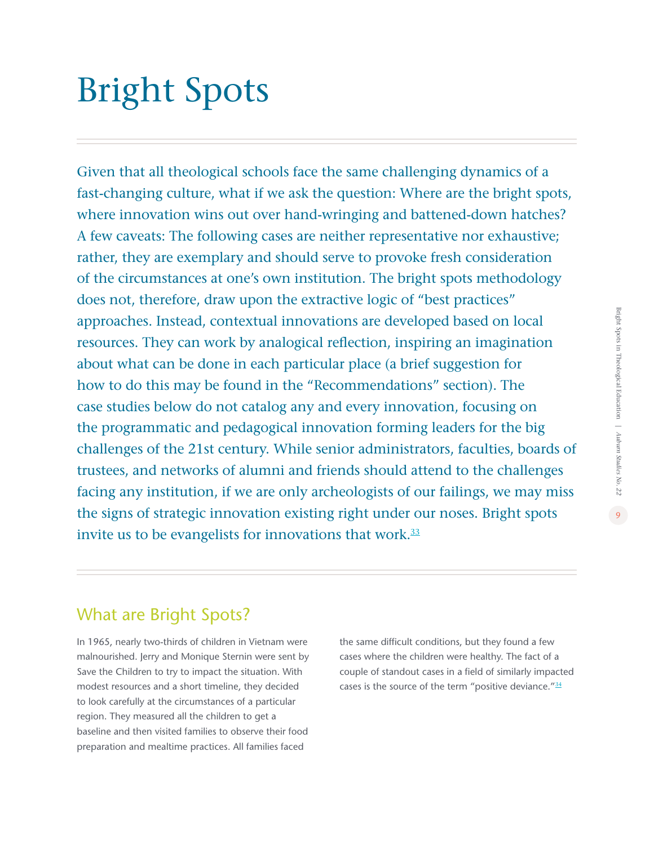# <span id="page-8-0"></span>Bright Spots

Given that all theological schools face the same challenging dynamics of a fast-changing culture, what if we ask the question: Where are the bright spots, where innovation wins out over hand-wringing and battened-down hatches? A few caveats: The following cases are neither representative nor exhaustive; rather, they are exemplary and should serve to provoke fresh consideration of the circumstances at one's own institution. The bright spots methodology does not, therefore, draw upon the extractive logic of "best practices" approaches. Instead, contextual innovations are developed based on local resources. They can work by analogical reflection, inspiring an imagination about what can be done in each particular place (a brief suggestion for how to do this may be found in the "Recommendations" section). The case studies below do not catalog any and every innovation, focusing on the programmatic and pedagogical innovation forming leaders for the big challenges of the 21st century. While senior administrators, faculties, boards of trustees, and networks of alumni and friends should attend to the challenges facing any institution, if we are only archeologists of our failings, we may miss the signs of strategic innovation existing right under our noses. Bright spots invite us to be evangelists for innovations that work. $33$ 

### What are Bright Spots?

In 1965, nearly two-thirds of children in Vietnam were malnourished. Jerry and Monique Sternin were sent by Save the Children to try to impact the situation. With modest resources and a short timeline, they decided to look carefully at the circumstances of a particular region. They measured all the children to get a baseline and then visited families to observe their food preparation and mealtime practices. All families faced

the same difficult conditions, but they found a few cases where the children were healthy. The fact of a couple of standout cases in a field of similarly impacted cases is the source of the term "positive deviance." $34$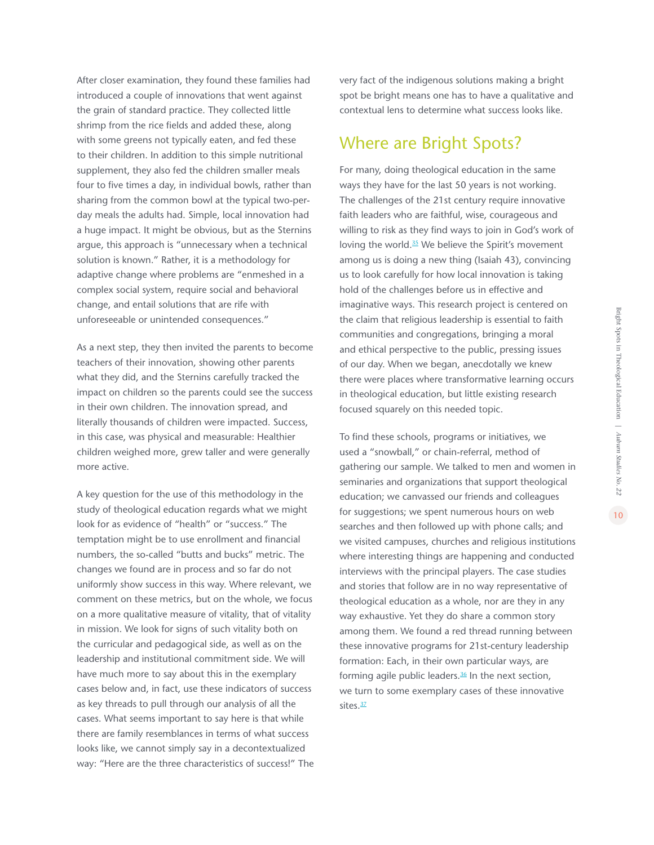After closer examination, they found these families had introduced a couple of innovations that went against the grain of standard practice. They collected little shrimp from the rice fields and added these, along with some greens not typically eaten, and fed these to their children. In addition to this simple nutritional supplement, they also fed the children smaller meals four to five times a day, in individual bowls, rather than sharing from the common bowl at the typical two-perday meals the adults had. Simple, local innovation had a huge impact. It might be obvious, but as the Sternins argue, this approach is "unnecessary when a technical solution is known." Rather, it is a methodology for adaptive change where problems are "enmeshed in a complex social system, require social and behavioral change, and entail solutions that are rife with unforeseeable or unintended consequences."

As a next step, they then invited the parents to become teachers of their innovation, showing other parents what they did, and the Sternins carefully tracked the impact on children so the parents could see the success in their own children. The innovation spread, and literally thousands of children were impacted. Success, in this case, was physical and measurable: Healthier children weighed more, grew taller and were generally more active.

A key question for the use of this methodology in the study of theological education regards what we might look for as evidence of "health" or "success." The temptation might be to use enrollment and financial numbers, the so-called "butts and bucks" metric. The changes we found are in process and so far do not uniformly show success in this way. Where relevant, we comment on these metrics, but on the whole, we focus on a more qualitative measure of vitality, that of vitality in mission. We look for signs of such vitality both on the curricular and pedagogical side, as well as on the leadership and institutional commitment side. We will have much more to say about this in the exemplary cases below and, in fact, use these indicators of success as key threads to pull through our analysis of all the cases. What seems important to say here is that while there are family resemblances in terms of what success looks like, we cannot simply say in a decontextualized way: "Here are the three characteristics of success!" The very fact of the indigenous solutions making a bright spot be bright means one has to have a qualitative and contextual lens to determine what success looks like.

### Where are Bright Spots?

For many, doing theological education in the same ways they have for the last 50 years is not working. The challenges of the 21st century require innovative faith leaders who are faithful, wise, courageous and willing to risk as they find ways to join in God's work of loving the world.<sup>[35](#page-44-0)</sup> We believe the Spirit's movement among us is doing a new thing (Isaiah 43), convincing us to look carefully for how local innovation is taking hold of the challenges before us in effective and imaginative ways. This research project is centered on the claim that religious leadership is essential to faith communities and congregations, bringing a moral and ethical perspective to the public, pressing issues of our day. When we began, anecdotally we knew there were places where transformative learning occurs in theological education, but little existing research focused squarely on this needed topic.

To find these schools, programs or initiatives, we used a "snowball," or chain-referral, method of gathering our sample. We talked to men and women in seminaries and organizations that support theological education; we canvassed our friends and colleagues for suggestions; we spent numerous hours on web searches and then followed up with phone calls; and we visited campuses, churches and religious institutions where interesting things are happening and conducted interviews with the principal players. The case studies and stories that follow are in no way representative of theological education as a whole, nor are they in any way exhaustive. Yet they do share a common story among them. We found a red thread running between these innovative programs for 21st-century leadership formation: Each, in their own particular ways, are forming agile public leaders. $36$  In the next section, we turn to some exemplary cases of these innovative sites.<sup>[37](#page-44-0)</sup>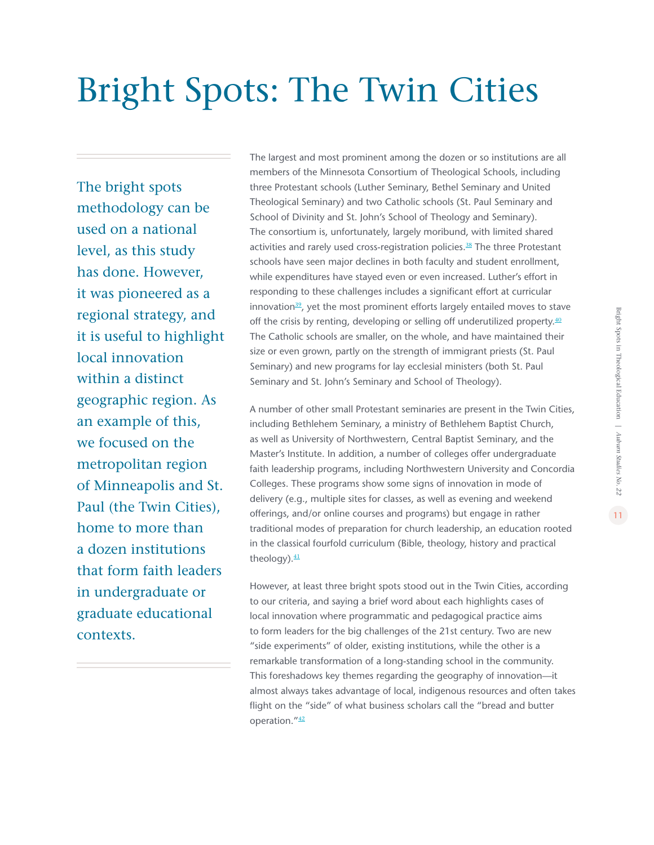# <span id="page-10-0"></span>Bright Spots: The Twin Cities

The bright spots methodology can be used on a national level, as this study has done. However, it was pioneered as a regional strategy, and it is useful to highlight local innovation within a distinct geographic region. As an example of this, we focused on the metropolitan region of Minneapolis and St. Paul (the Twin Cities), home to more than a dozen institutions that form faith leaders in undergraduate or graduate educational contexts.

The largest and most prominent among the dozen or so institutions are all members of the Minnesota Consortium of Theological Schools, including three Protestant schools (Luther Seminary, Bethel Seminary and United Theological Seminary) and two Catholic schools (St. Paul Seminary and School of Divinity and St. John's School of Theology and Seminary). The consortium is, unfortunately, largely moribund, with limited shared activities and rarely used cross-registration policies.<sup>[3](#page-44-0)8</sup> The three Protestant schools have seen major declines in both faculty and student enrollment, while expenditures have stayed even or even increased. Luther's effort in responding to these challenges includes a significant effort at curricular innovation $39$  $39$ , yet the most prominent efforts largely entailed moves to stave off the crisis by renting, developing or selling off underutilized property. $40$ The Catholic schools are smaller, on the whole, and have maintained their size or even grown, partly on the strength of immigrant priests (St. Paul Seminary) and new programs for lay ecclesial ministers (both St. Paul Seminary and St. John's Seminary and School of Theology).

A number of other small Protestant seminaries are present in the Twin Cities, including Bethlehem Seminary, a ministry of Bethlehem Baptist Church, as well as University of Northwestern, Central Baptist Seminary, and the Master's Institute. In addition, a number of colleges offer undergraduate faith leadership programs, including Northwestern University and Concordia Colleges. These programs show some signs of innovation in mode of delivery (e.g., multiple sites for classes, as well as evening and weekend offerings, and/or online courses and programs) but engage in rather traditional modes of preparation for church leadership, an education rooted in the classical fourfold curriculum (Bible, theology, history and practical theology). $41$ 

However, at least three bright spots stood out in the Twin Cities, according to our criteria, and saying a brief word about each highlights cases of local innovation where programmatic and pedagogical practice aims to form leaders for the big challenges of the 21st century. Two are new "side experiments" of older, existing institutions, while the other is a remarkable transformation of a long-standing school in the community. This foreshadows key themes regarding the geography of innovation—it almost always takes advantage of local, indigenous resources and often takes flight on the "side" of what business scholars call the "bread and butter operation."[4](#page-45-0)2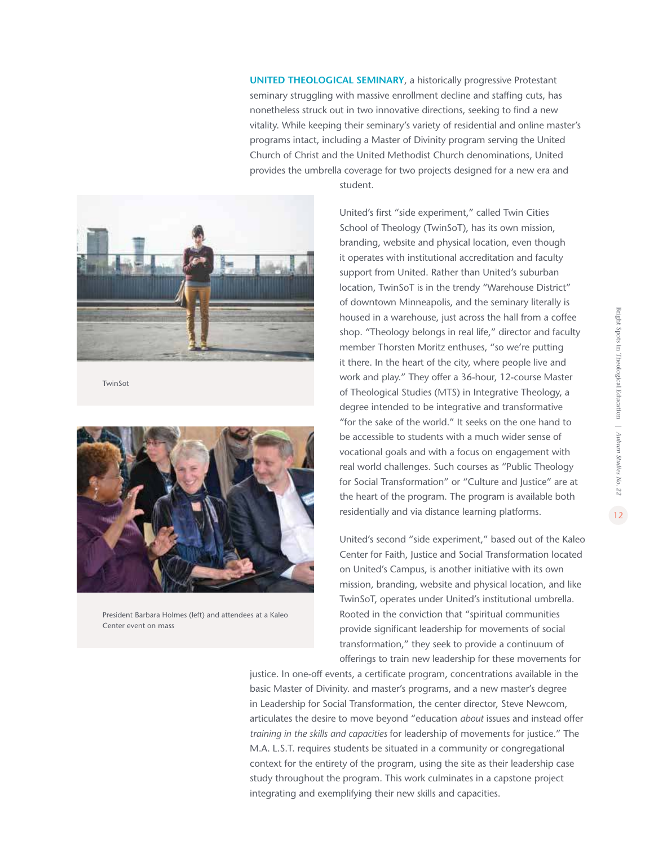**UNITED THEOLOGICAL SEMINARY**, a historically progressive Protestant seminary struggling with massive enrollment decline and staffing cuts, has nonetheless struck out in two innovative directions, seeking to find a new vitality. While keeping their seminary's variety of residential and online master's programs intact, including a Master of Divinity program serving the United Church of Christ and the United Methodist Church denominations, United provides the umbrella coverage for two projects designed for a new era and



**TwinSot** 



President Barbara Holmes (left) and attendees at a Kaleo Center event on mass

student.

United's first "side experiment," called Twin Cities School of Theology (TwinSoT), has its own mission, branding, website and physical location, even though it operates with institutional accreditation and faculty support from United. Rather than United's suburban location, TwinSoT is in the trendy "Warehouse District" of downtown Minneapolis, and the seminary literally is housed in a warehouse, just across the hall from a coffee shop. "Theology belongs in real life," director and faculty member Thorsten Moritz enthuses, "so we're putting it there. In the heart of the city, where people live and work and play." They offer a 36-hour, 12-course Master of Theological Studies (MTS) in Integrative Theology, a degree intended to be integrative and transformative "for the sake of the world." It seeks on the one hand to be accessible to students with a much wider sense of vocational goals and with a focus on engagement with real world challenges. Such courses as "Public Theology for Social Transformation" or "Culture and Justice" are at the heart of the program. The program is available both residentially and via distance learning platforms.

United's second "side experiment," based out of the Kaleo Center for Faith, Justice and Social Transformation located on United's Campus, is another initiative with its own mission, branding, website and physical location, and like TwinSoT, operates under United's institutional umbrella. Rooted in the conviction that "spiritual communities provide significant leadership for movements of social transformation," they seek to provide a continuum of offerings to train new leadership for these movements for

justice. In one-off events, a certificate program, concentrations available in the basic Master of Divinity. and master's programs, and a new master's degree in Leadership for Social Transformation, the center director, Steve Newcom, articulates the desire to move beyond "education *about* issues and instead offer *training in the skills and capacities* for leadership of movements for justice." The M.A. L.S.T. requires students be situated in a community or congregational context for the entirety of the program, using the site as their leadership case study throughout the program. This work culminates in a capstone project integrating and exemplifying their new skills and capacities.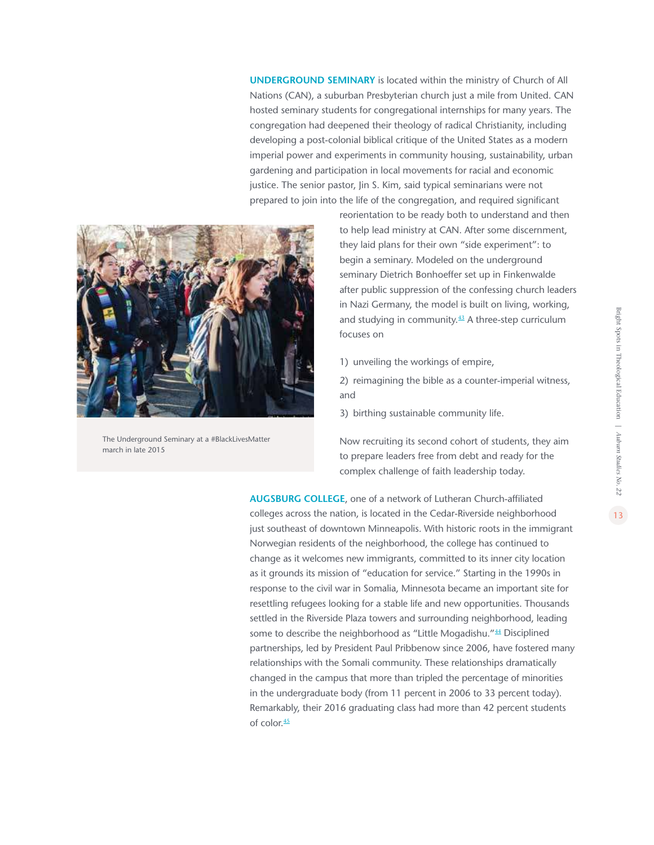**UNDERGROUND SEMINARY** is located within the ministry of Church of All Nations (CAN), a suburban Presbyterian church just a mile from United. CAN hosted seminary students for congregational internships for many years. The congregation had deepened their theology of radical Christianity, including developing a post-colonial biblical critique of the United States as a modern imperial power and experiments in community housing, sustainability, urban gardening and participation in local movements for racial and economic justice. The senior pastor, Jin S. Kim, said typical seminarians were not prepared to join into the life of the congregation, and required significant



The Underground Seminary at a #BlackLivesMatter march in late 2015

reorientation to be ready both to understand and then to help lead ministry at CAN. After some discernment, they laid plans for their own "side experiment": to begin a seminary. Modeled on the underground seminary Dietrich Bonhoeffer set up in Finkenwalde after public suppression of the confessing church leaders in Nazi Germany, the model is built on living, working, and studying in community. $43$  $43$  A three-step curriculum focuses on

1) unveiling the workings of empire,

2) reimagining the bible as a counter-imperial witness, and

3) birthing sustainable community life.

Now recruiting its second cohort of students, they aim to prepare leaders free from debt and ready for the complex challenge of faith leadership today.

**AUGSBURG COLLEGE**, one of a network of Lutheran Church-affiliated colleges across the nation, is located in the Cedar-Riverside neighborhood just southeast of downtown Minneapolis. With historic roots in the immigrant Norwegian residents of the neighborhood, the college has continued to change as it welcomes new immigrants, committed to its inner city location as it grounds its mission of "education for service." Starting in the 1990s in response to the civil war in Somalia, Minnesota became an important site for resettling refugees looking for a stable life and new opportunities. Thousands settled in the Riverside Plaza towers and surrounding neighborhood, leading some to describe the neighborhood as "Little Mogadishu."<sup>[4](#page-45-0)4</sup> Disciplined partnerships, led by President Paul Pribbenow since 2006, have fostered many relationships with the Somali community. These relationships dramatically changed in the campus that more than tripled the percentage of minorities in the undergraduate body (from 11 percent in 2006 to 33 percent today). Remarkably, their 2016 graduating class had more than 42 percent students of color.<sup>[4](#page-45-0)5</sup>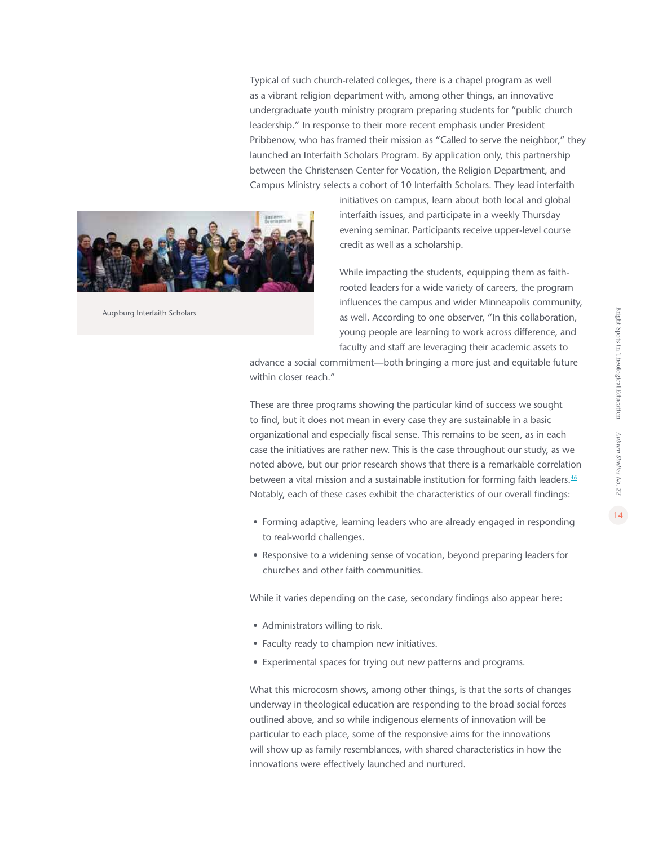Typical of such church-related colleges, there is a chapel program as well as a vibrant religion department with, among other things, an innovative undergraduate youth ministry program preparing students for "public church leadership." In response to their more recent emphasis under President Pribbenow, who has framed their mission as "Called to serve the neighbor," they launched an Interfaith Scholars Program. By application only, this partnership between the Christensen Center for Vocation, the Religion Department, and Campus Ministry selects a cohort of 10 Interfaith Scholars. They lead interfaith



Augsburg Interfaith Scholars

initiatives on campus, learn about both local and global interfaith issues, and participate in a weekly Thursday evening seminar. Participants receive upper-level course credit as well as a scholarship.

While impacting the students, equipping them as faithrooted leaders for a wide variety of careers, the program influences the campus and wider Minneapolis community, as well. According to one observer, "In this collaboration, young people are learning to work across difference, and faculty and staff are leveraging their academic assets to

advance a social commitment—both bringing a more just and equitable future within closer reach."

These are three programs showing the particular kind of success we sought to find, but it does not mean in every case they are sustainable in a basic organizational and especially fiscal sense. This remains to be seen, as in each case the initiatives are rather new. This is the case throughout our study, as we noted above, but our prior research shows that there is a remarkable correlation between a vital mission and a sustainable institution for forming faith leaders. $\frac{46}{5}$  $\frac{46}{5}$  $\frac{46}{5}$ Notably, each of these cases exhibit the characteristics of our overall findings:

- Forming adaptive, learning leaders who are already engaged in responding to real-world challenges.
- Responsive to a widening sense of vocation, beyond preparing leaders for churches and other faith communities.

While it varies depending on the case, secondary findings also appear here:

- Administrators willing to risk.
- Faculty ready to champion new initiatives.
- Experimental spaces for trying out new patterns and programs.

What this microcosm shows, among other things, is that the sorts of changes underway in theological education are responding to the broad social forces outlined above, and so while indigenous elements of innovation will be particular to each place, some of the responsive aims for the innovations will show up as family resemblances, with shared characteristics in how the innovations were effectively launched and nurtured.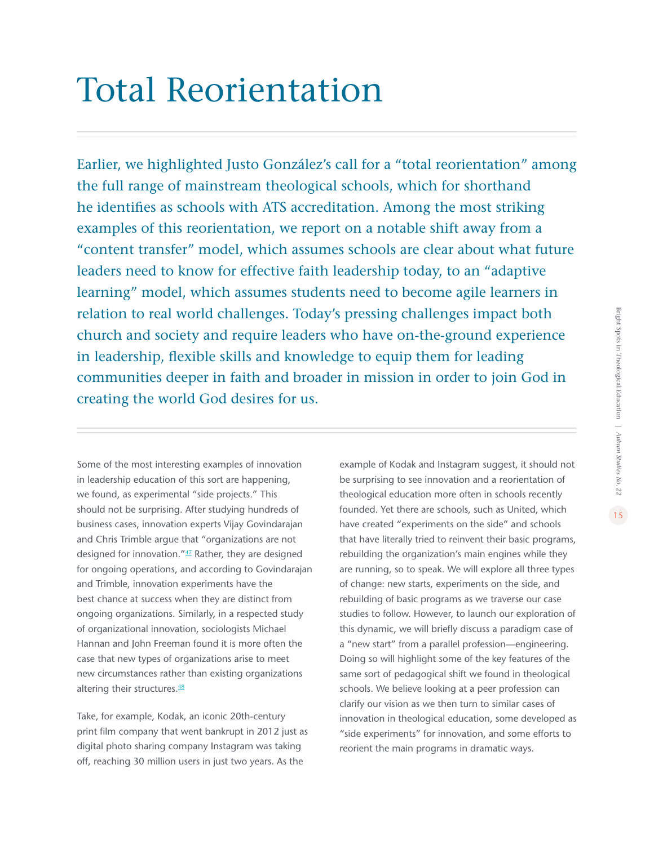# <span id="page-14-0"></span>Total Reorientation

Earlier, we highlighted Justo González's call for a "total reorientation" among the full range of mainstream theological schools, which for shorthand he identifies as schools with ATS accreditation. Among the most striking examples of this reorientation, we report on a notable shift away from a "content transfer" model, which assumes schools are clear about what future leaders need to know for effective faith leadership today, to an "adaptive learning" model, which assumes students need to become agile learners in relation to real world challenges. Today's pressing challenges impact both church and society and require leaders who have on-the-ground experience in leadership, flexible skills and knowledge to equip them for leading communities deeper in faith and broader in mission in order to join God in creating the world God desires for us.

Some of the most interesting examples of innovation in leadership education of this sort are happening, we found, as experimental "side projects." This should not be surprising. After studying hundreds of business cases, innovation experts Vijay Govindarajan and Chris Trimble argue that "organizations are not designed for innovation."[47](#page-45-0) Rather, they are designed for ongoing operations, and according to Govindarajan and Trimble, innovation experiments have the best chance at success when they are distinct from ongoing organizations. Similarly, in a respected study of organizational innovation, sociologists Michael Hannan and John Freeman found it is more often the case that new types of organizations arise to meet new circumstances rather than existing organizations altering their structures.<sup>[48](#page-45-0)</sup>

Take, for example, Kodak, an iconic 20th-century print film company that went bankrupt in 2012 just as digital photo sharing company Instagram was taking off, reaching 30 million users in just two years. As the

example of Kodak and Instagram suggest, it should not be surprising to see innovation and a reorientation of theological education more often in schools recently founded. Yet there are schools, such as United, which have created "experiments on the side" and schools that have literally tried to reinvent their basic programs, rebuilding the organization's main engines while they are running, so to speak. We will explore all three types of change: new starts, experiments on the side, and rebuilding of basic programs as we traverse our case studies to follow. However, to launch our exploration of this dynamic, we will briefly discuss a paradigm case of a "new start" from a parallel profession—engineering. Doing so will highlight some of the key features of the same sort of pedagogical shift we found in theological schools. We believe looking at a peer profession can clarify our vision as we then turn to similar cases of innovation in theological education, some developed as "side experiments" for innovation, and some efforts to reorient the main programs in dramatic ways.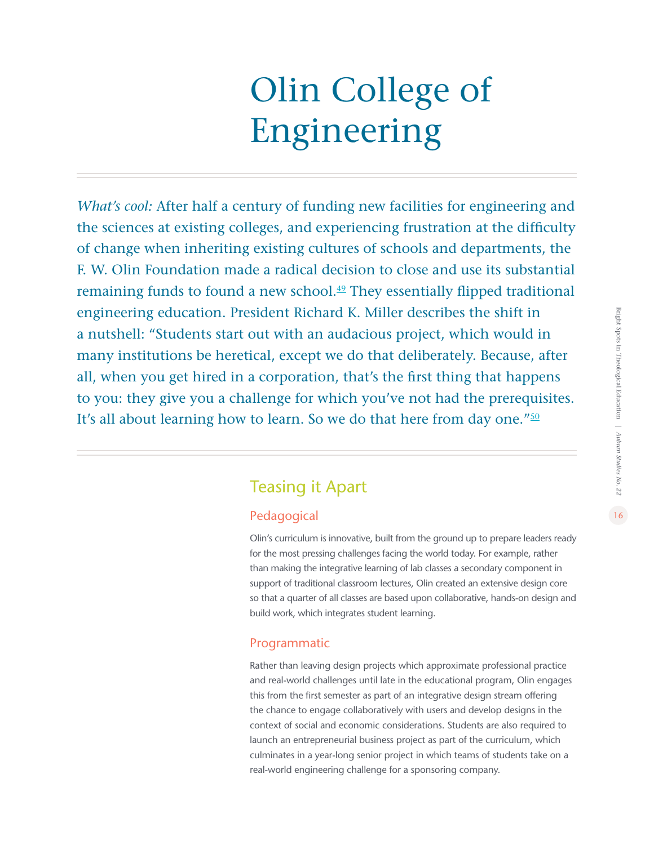# Olin College of Engineering

*What's cool:* After half a century of funding new facilities for engineering and the sciences at existing colleges, and experiencing frustration at the difficulty of change when inheriting existing cultures of schools and departments, the F. W. Olin Foundation made a radical decision to close and use its substantial remaining funds to found a new school.<sup>[49](#page-45-0)</sup> They essentially flipped traditional engineering education. President Richard K. Miller describes the shift in a nutshell: "Students start out with an audacious project, which would in many institutions be heretical, except we do that deliberately. Because, after all, when you get hired in a corporation, that's the first thing that happens to you: they give you a challenge for which you've not had the prerequisites. It's all about learning how to learn. So we do that here from day one."<sup>50</sup>

### Teasing it Apart

### Pedagogical

Olin's curriculum is innovative, built from the ground up to prepare leaders ready for the most pressing challenges facing the world today. For example, rather than making the integrative learning of lab classes a secondary component in support of traditional classroom lectures, Olin created an extensive design core so that a quarter of all classes are based upon collaborative, hands-on design and build work, which integrates student learning.

### Programmatic

Rather than leaving design projects which approximate professional practice and real-world challenges until late in the educational program, Olin engages this from the first semester as part of an integrative design stream offering the chance to engage collaboratively with users and develop designs in the context of social and economic considerations. Students are also required to launch an entrepreneurial business project as part of the curriculum, which culminates in a year-long senior project in which teams of students take on a real-world engineering challenge for a sponsoring company.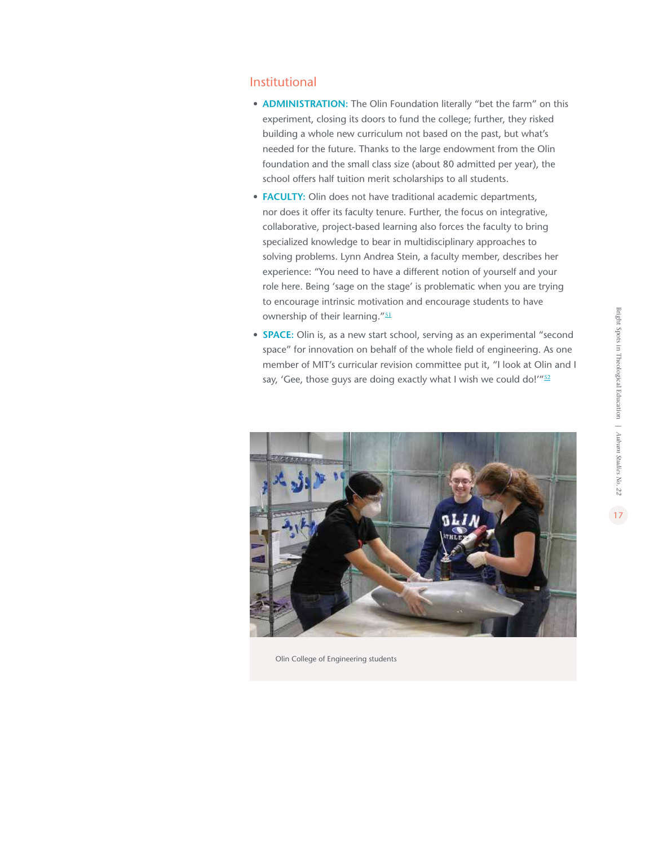#### Institutional

- **ADMINISTRATION:** The Olin Foundation literally "bet the farm" on this experiment, closing its doors to fund the college; further, they risked building a whole new curriculum not based on the past, but what's needed for the future. Thanks to the large endowment from the Olin foundation and the small class size (about 80 admitted per year), the school offers half tuition merit scholarships to all students.
- **FACULTY:** Olin does not have traditional academic departments, nor does it offer its faculty tenure. Further, the focus on integrative, collaborative, project-based learning also forces the faculty to bring specialized knowledge to bear in multidisciplinary approaches to solving problems. Lynn Andrea Stein, a faculty member, describes her experience: "You need to have a different notion of yourself and your role here. Being 'sage on the stage' is problematic when you are trying to encourage intrinsic motivation and encourage students to have ownership of their learning."<sup>[51](#page-45-0)</sup>
- **SPACE:** Olin is, as a new start school, serving as an experimental "second space" for innovation on behalf of the whole field of engineering. As one member of MIT's curricular revision committee put it, "I look at Olin and I say, 'Gee, those guys are doing exactly what I wish we could do!'" $52$



Olin College of Engineering students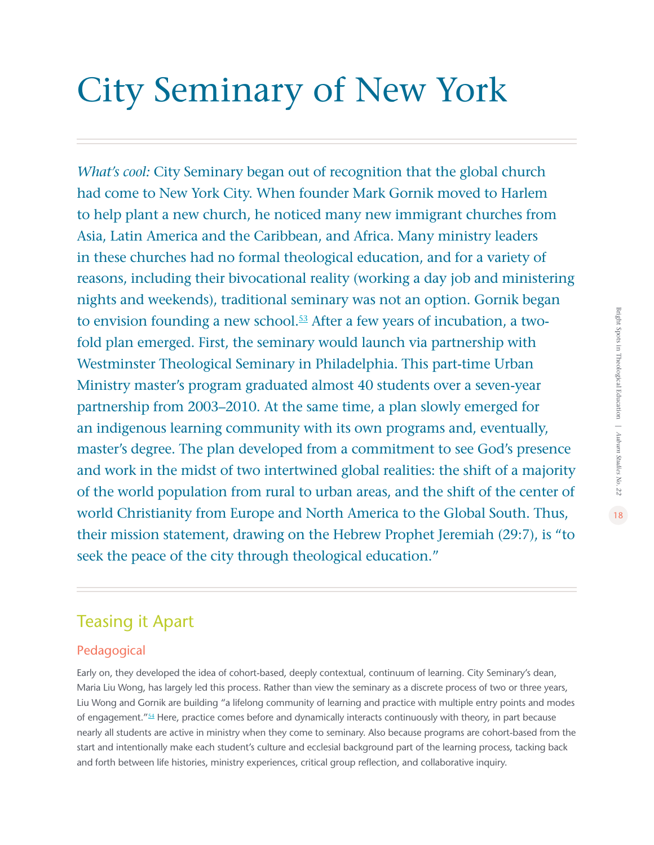# City Seminary of New York

*What's cool:* City Seminary began out of recognition that the global church had come to New York City. When founder Mark Gornik moved to Harlem to help plant a new church, he noticed many new immigrant churches from Asia, Latin America and the Caribbean, and Africa. Many ministry leaders in these churches had no formal theological education, and for a variety of reasons, including their bivocational reality (working a day job and ministering nights and weekends), traditional seminary was not an option. Gornik began to envision founding a new school.<sup>[53](#page-45-0)</sup> After a few years of incubation, a twofold plan emerged. First, the seminary would launch via partnership with Westminster Theological Seminary in Philadelphia. This part-time Urban Ministry master's program graduated almost 40 students over a seven-year partnership from 2003–2010. At the same time, a plan slowly emerged for an indigenous learning community with its own programs and, eventually, master's degree. The plan developed from a commitment to see God's presence and work in the midst of two intertwined global realities: the shift of a majority of the world population from rural to urban areas, and the shift of the center of world Christianity from Europe and North America to the Global South. Thus, their mission statement, drawing on the Hebrew Prophet Jeremiah (29:7), is "to seek the peace of the city through theological education."

### Teasing it Apart

### Pedagogical

Early on, they developed the idea of cohort-based, deeply contextual, continuum of learning. City Seminary's dean, Maria Liu Wong, has largely led this process. Rather than view the seminary as a discrete process of two or three years, Liu Wong and Gornik are building "a lifelong community of learning and practice with multiple entry points and modes of engagement."[54](#page-45-0) Here, practice comes before and dynamically interacts continuously with theory, in part because nearly all students are active in ministry when they come to seminary. Also because programs are cohort-based from the start and intentionally make each student's culture and ecclesial background part of the learning process, tacking back and forth between life histories, ministry experiences, critical group reflection, and collaborative inquiry.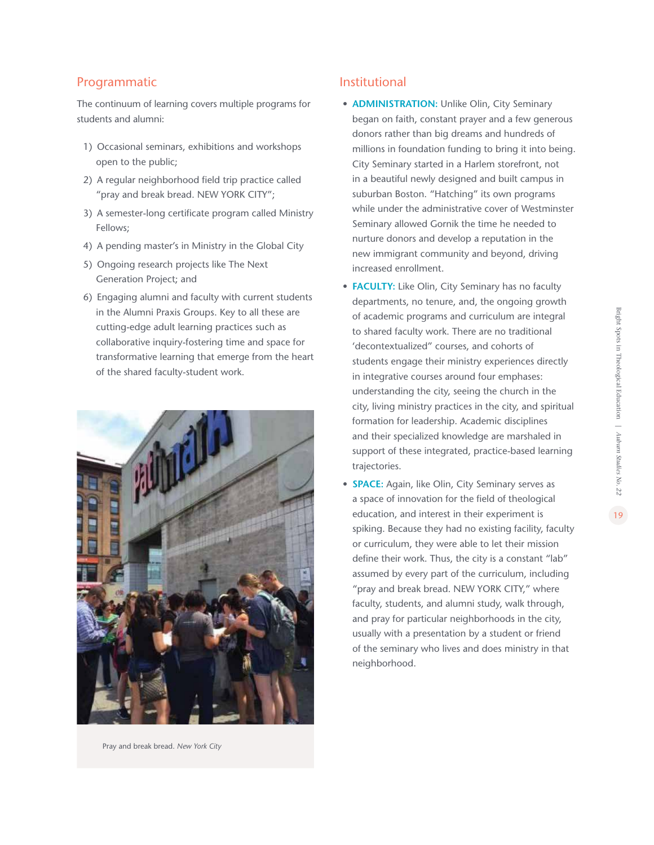### Programmatic

The continuum of learning covers multiple programs for students and alumni:

- 1) Occasional seminars, exhibitions and workshops open to the public;
- 2) A regular neighborhood field trip practice called "pray and break bread. NEW YORK CITY";
- 3) A semester-long certificate program called Ministry Fellows;
- 4) A pending master's in Ministry in the Global City
- 5) Ongoing research projects like The Next Generation Project; and
- 6) Engaging alumni and faculty with current students in the Alumni Praxis Groups. Key to all these are cutting-edge adult learning practices such as collaborative inquiry-fostering time and space for transformative learning that emerge from the heart of the shared faculty-student work.



Pray and break bread. *New York City*

### Institutional

- **ADMINISTRATION:** Unlike Olin, City Seminary began on faith, constant prayer and a few generous donors rather than big dreams and hundreds of millions in foundation funding to bring it into being. City Seminary started in a Harlem storefront, not in a beautiful newly designed and built campus in suburban Boston. "Hatching" its own programs while under the administrative cover of Westminster Seminary allowed Gornik the time he needed to nurture donors and develop a reputation in the new immigrant community and beyond, driving increased enrollment.
- **FACULTY:** Like Olin, City Seminary has no faculty departments, no tenure, and, the ongoing growth of academic programs and curriculum are integral to shared faculty work. There are no traditional 'decontextualized" courses, and cohorts of students engage their ministry experiences directly in integrative courses around four emphases: understanding the city, seeing the church in the city, living ministry practices in the city, and spiritual formation for leadership. Academic disciplines and their specialized knowledge are marshaled in support of these integrated, practice-based learning trajectories.
- **SPACE:** Again, like Olin, City Seminary serves as a space of innovation for the field of theological education, and interest in their experiment is spiking. Because they had no existing facility, faculty or curriculum, they were able to let their mission define their work. Thus, the city is a constant "lab" assumed by every part of the curriculum, including "pray and break bread. NEW YORK CITY," where faculty, students, and alumni study, walk through, and pray for particular neighborhoods in the city, usually with a presentation by a student or friend of the seminary who lives and does ministry in that neighborhood.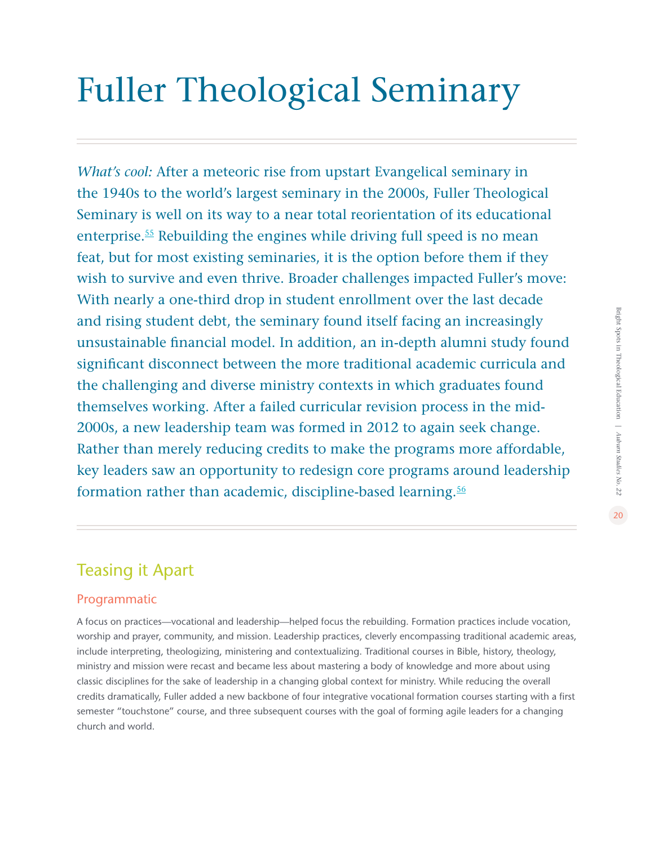# Fuller Theological Seminary

*What's cool:* After a meteoric rise from upstart Evangelical seminary in the 1940s to the world's largest seminary in the 2000s, Fuller Theological Seminary is well on its way to a near total reorientation of its educational enterprise.[55](#page-45-0) Rebuilding the engines while driving full speed is no mean feat, but for most existing seminaries, it is the option before them if they wish to survive and even thrive. Broader challenges impacted Fuller's move: With nearly a one-third drop in student enrollment over the last decade and rising student debt, the seminary found itself facing an increasingly unsustainable financial model. In addition, an in-depth alumni study found significant disconnect between the more traditional academic curricula and the challenging and diverse ministry contexts in which graduates found themselves working. After a failed curricular revision process in the mid-2000s, a new leadership team was formed in 2012 to again seek change. Rather than merely reducing credits to make the programs more affordable, key leaders saw an opportunity to redesign core programs around leadership formation rather than academic, discipline-based learning.<sup>[56](#page-45-0)</sup>

### Teasing it Apart

### Programmatic

A focus on practices—vocational and leadership—helped focus the rebuilding. Formation practices include vocation, worship and prayer, community, and mission. Leadership practices, cleverly encompassing traditional academic areas, include interpreting, theologizing, ministering and contextualizing. Traditional courses in Bible, history, theology, ministry and mission were recast and became less about mastering a body of knowledge and more about using classic disciplines for the sake of leadership in a changing global context for ministry. While reducing the overall credits dramatically, Fuller added a new backbone of four integrative vocational formation courses starting with a first semester "touchstone" course, and three subsequent courses with the goal of forming agile leaders for a changing church and world.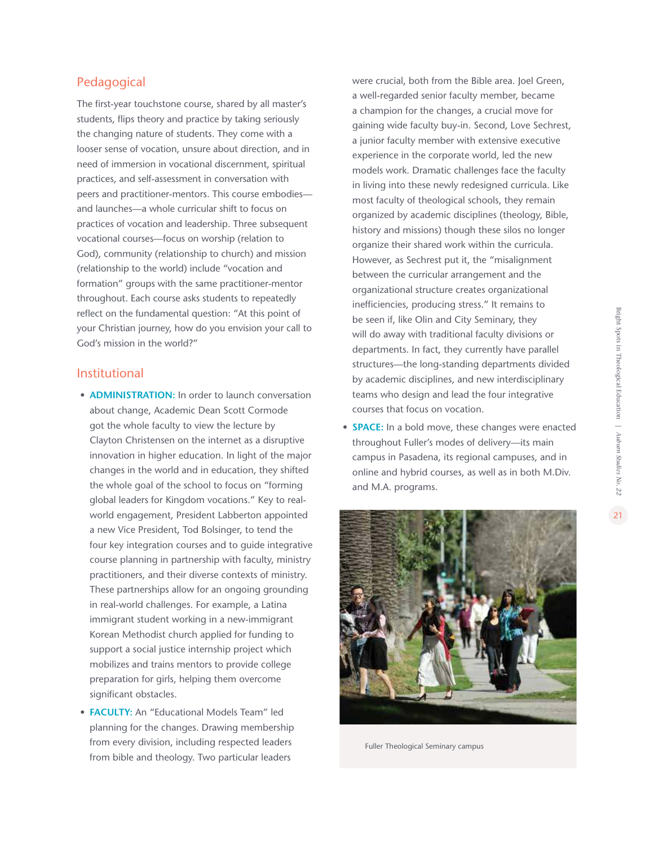<span id="page-20-0"></span>The first-year touchstone course, shared by all master's students, flips theory and practice by taking seriously the changing nature of students. They come with a looser sense of vocation, unsure about direction, and in need of immersion in vocational discernment, spiritual practices, and self-assessment in conversation with peers and practitioner-mentors. This course embodies and launches—a whole curricular shift to focus on practices of vocation and leadership. Three subsequent vocational courses—focus on worship (relation to God), community (relationship to church) and mission (relationship to the world) include "vocation and formation" groups with the same practitioner-mentor throughout. Each course asks students to repeatedly reflect on the fundamental question: "At this point of your Christian journey, how do you envision your call to God's mission in the world?"

### Institutional

- **ADMINISTRATION:** In order to launch conversation about change, Academic Dean Scott Cormode got the whole faculty to view the lecture by Clayton Christensen on the internet as a disruptive innovation in higher education. In light of the major changes in the world and in education, they shifted the whole goal of the school to focus on "forming global leaders for Kingdom vocations." Key to realworld engagement, President Labberton appointed a new Vice President, Tod Bolsinger, to tend the four key integration courses and to guide integrative course planning in partnership with faculty, ministry practitioners, and their diverse contexts of ministry. These partnerships allow for an ongoing grounding in real-world challenges. For example, a Latina immigrant student working in a new-immigrant Korean Methodist church applied for funding to support a social justice internship project which mobilizes and trains mentors to provide college preparation for girls, helping them overcome significant obstacles.
- **FACULTY:** An "Educational Models Team" led planning for the changes. Drawing membership from every division, including respected leaders from bible and theology. Two particular leaders

were crucial, both from the Bible area. Joel Green, a well-regarded senior faculty member, became a champion for the changes, a crucial move for gaining wide faculty buy-in. Second, Love Sechrest, a junior faculty member with extensive executive experience in the corporate world, led the new models work. Dramatic challenges face the faculty in living into these newly redesigned curricula. Like most faculty of theological schools, they remain organized by academic disciplines (theology, Bible, history and missions) though these silos no longer organize their shared work within the curricula. However, as Sechrest put it, the "misalignment between the curricular arrangement and the organizational structure creates organizational inefficiencies, producing stress." It remains to be seen if, like Olin and City Seminary, they will do away with traditional faculty divisions or departments. In fact, they currently have parallel structures—the long-standing departments divided by academic disciplines, and new interdisciplinary teams who design and lead the four integrative courses that focus on vocation.

**• SPACE:** In a bold move, these changes were enacted throughout Fuller's modes of delivery—its main campus in Pasadena, its regional campuses, and in online and hybrid courses, as well as in both M.Div. and M.A. programs.



Fuller Theological Seminary campus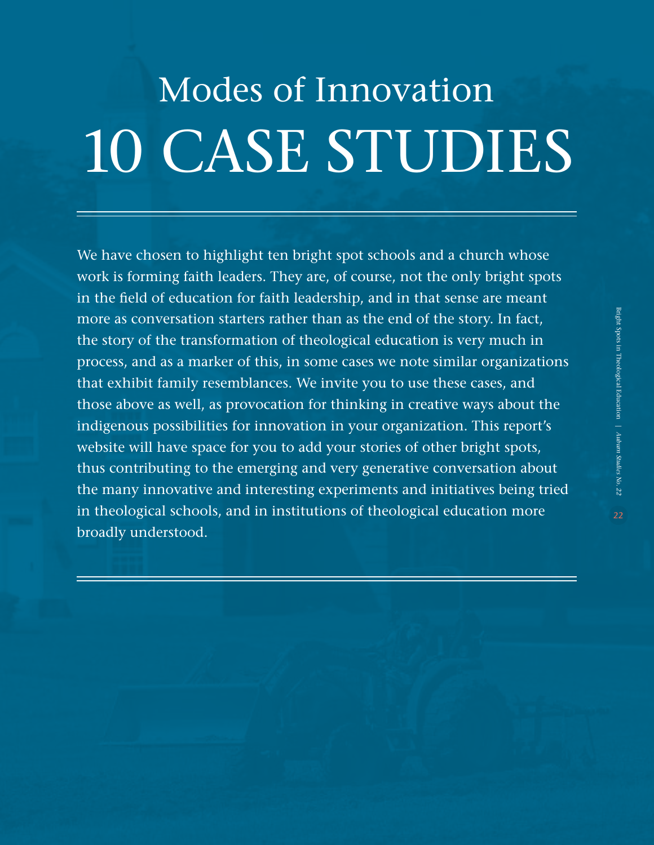# Modes of Innovation 10 CASE STUDIES

We have chosen to highlight ten bright spot schools and a church whose work is forming faith leaders. They are, of course, not the only bright spots in the field of education for faith leadership, and in that sense are meant more as conversation starters rather than as the end of the story. In fact, the story of the transformation of theological education is very much in process, and as a marker of this, in some cases we note similar organizations that exhibit family resemblances. We invite you to use these cases, and those above as well, as provocation for thinking in creative ways about the indigenous possibilities for innovation in your organization. This report's website will have space for you to add your stories of other bright spots, thus contributing to the emerging and very generative conversation about the many innovative and interesting experiments and initiatives being tried in theological schools, and in institutions of theological education more broadly understood.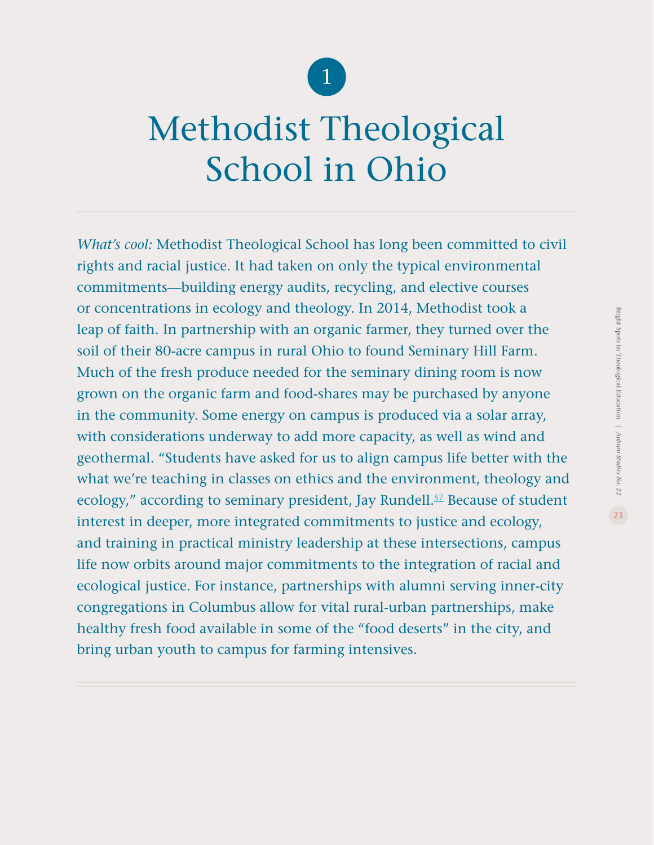

# Methodist Theological School in Ohio

*What's cool:* Methodist Theological School has long been committed to civil rights and racial justice. It had taken on only the typical environmental commitments—building energy audits, recycling, and elective courses or concentrations in ecology and theology. In 2014, Methodist took a leap of faith. In partnership with an organic farmer, they turned over the soil of their 80-acre campus in rural Ohio to found Seminary Hill Farm. Much of the fresh produce needed for the seminary dining room is now grown on the organic farm and food-shares may be purchased by anyone in the community. Some energy on campus is produced via a solar array, with considerations underway to add more capacity, as well as wind and geothermal. "Students have asked for us to align campus life better with the what we're teaching in classes on ethics and the environment, theology and ecology," according to seminary president, Jay Rundell.<sup>[5](#page-45-0)7</sup> Because of student interest in deeper, more integrated commitments to justice and ecology, and training in practical ministry leadership at these intersections, campus life now orbits around major commitments to the integration of racial and ecological justice. For instance, partnerships with alumni serving inner-city congregations in Columbus allow for vital rural-urban partnerships, make healthy fresh food available in some of the "food deserts" in the city, and bring urban youth to campus for farming intensives.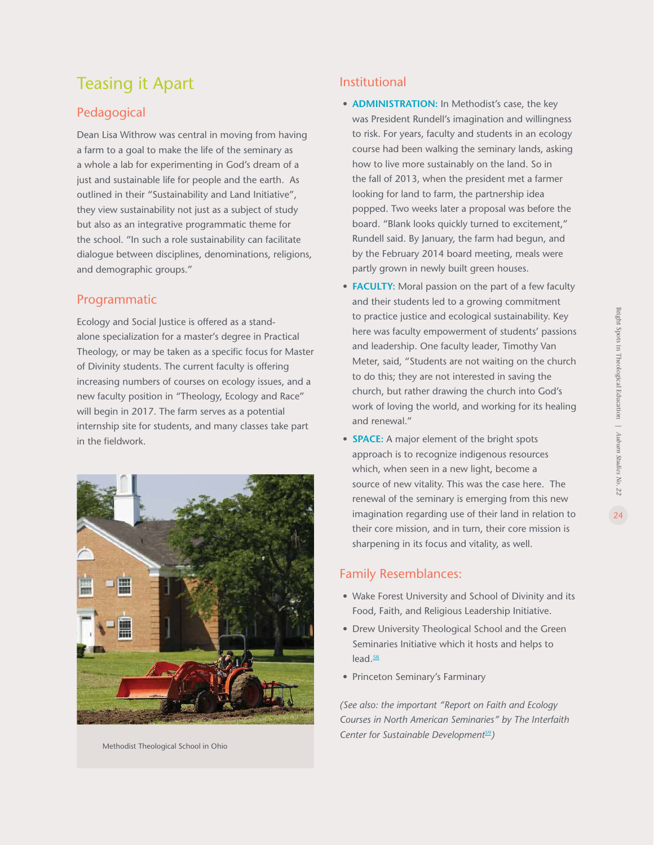### Teasing it Apart

### Pedagogical

Dean Lisa Withrow was central in moving from having a farm to a goal to make the life of the seminary as a whole a lab for experimenting in God's dream of a just and sustainable life for people and the earth. As outlined in their "Sustainability and Land Initiative", they view sustainability not just as a subject of study but also as an integrative programmatic theme for the school. "In such a role sustainability can facilitate dialogue between disciplines, denominations, religions, and demographic groups."

#### Programmatic

Ecology and Social Justice is offered as a standalone specialization for a master's degree in Practical Theology, or may be taken as a specific focus for Master of Divinity students. The current faculty is offering increasing numbers of courses on ecology issues, and a new faculty position in "Theology, Ecology and Race" will begin in 2017. The farm serves as a potential internship site for students, and many classes take part in the fieldwork.



Methodist Theological School in Ohio

### Institutional

- **ADMINISTRATION:** In Methodist's case, the key was President Rundell's imagination and willingness to risk. For years, faculty and students in an ecology course had been walking the seminary lands, asking how to live more sustainably on the land. So in the fall of 2013, when the president met a farmer looking for land to farm, the partnership idea popped. Two weeks later a proposal was before the board. "Blank looks quickly turned to excitement," Rundell said. By January, the farm had begun, and by the February 2014 board meeting, meals were partly grown in newly built green houses.
- **FACULTY:** Moral passion on the part of a few faculty and their students led to a growing commitment to practice justice and ecological sustainability. Key here was faculty empowerment of students' passions and leadership. One faculty leader, Timothy Van Meter, said, "Students are not waiting on the church to do this; they are not interested in saving the church, but rather drawing the church into God's work of loving the world, and working for its healing and renewal."
- **SPACE:** A major element of the bright spots approach is to recognize indigenous resources which, when seen in a new light, become a source of new vitality. This was the case here. The renewal of the seminary is emerging from this new imagination regarding use of their land in relation to their core mission, and in turn, their core mission is sharpening in its focus and vitality, as well.

#### Family Resemblances:

- Wake Forest University and School of Divinity and its Food, Faith, and Religious Leadership Initiative.
- Drew University Theological School and the Green Seminaries Initiative which it hosts and helps to lead.<sup>[5](#page-45-0)8</sup>
- Princeton Seminary's Farminary

*(See also: the important "Report on Faith and Ecology Courses in North American Seminaries" by The Interfaith Center for Sustainable Development<sup>[5](#page-45-0)9</sup>)*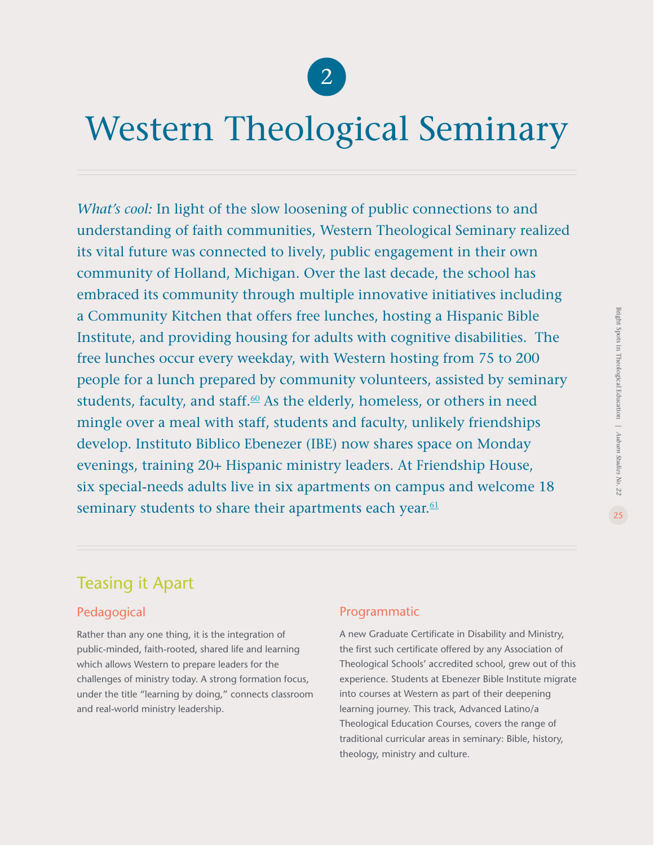

## Western Theological Seminary

*What's cool:* In light of the slow loosening of public connections to and understanding of faith communities, Western Theological Seminary realized its vital future was connected to lively, public engagement in their own community of Holland, Michigan. Over the last decade, the school has embraced its community through multiple innovative initiatives including a Community Kitchen that offers free lunches, hosting a Hispanic Bible Institute, and providing housing for adults with cognitive disabilities. The free lunches occur every weekday, with Western hosting from 75 to 200 people for a lunch prepared by community volunteers, assisted by seminary students, faculty, and staff.<sup>60</sup> As the elderly, homeless, or others in need mingle over a meal with staff, students and faculty, unlikely friendships develop. Instituto Biblico Ebenezer (IBE) now shares space on Monday evenings, training 20+ Hispanic ministry leaders. At Friendship House, six special-needs adults live in six apartments on campus and welcome 18 seminary students to share their apartments each year.<sup>[61](#page-45-0)</sup>

### Teasing it Apart

### Pedagogical

Rather than any one thing, it is the integration of public-minded, faith-rooted, shared life and learning which allows Western to prepare leaders for the challenges of ministry today. A strong formation focus, under the title "learning by doing," connects classroom and real-world ministry leadership.

### Programmatic

A new Graduate Certificate in Disability and Ministry, the first such certificate offered by any Association of Theological Schools' accredited school, grew out of this experience. Students at Ebenezer Bible Institute migrate into courses at Western as part of their deepening learning journey. This track, Advanced Latino/a Theological Education Courses, covers the range of traditional curricular areas in seminary: Bible, history, theology, ministry and culture.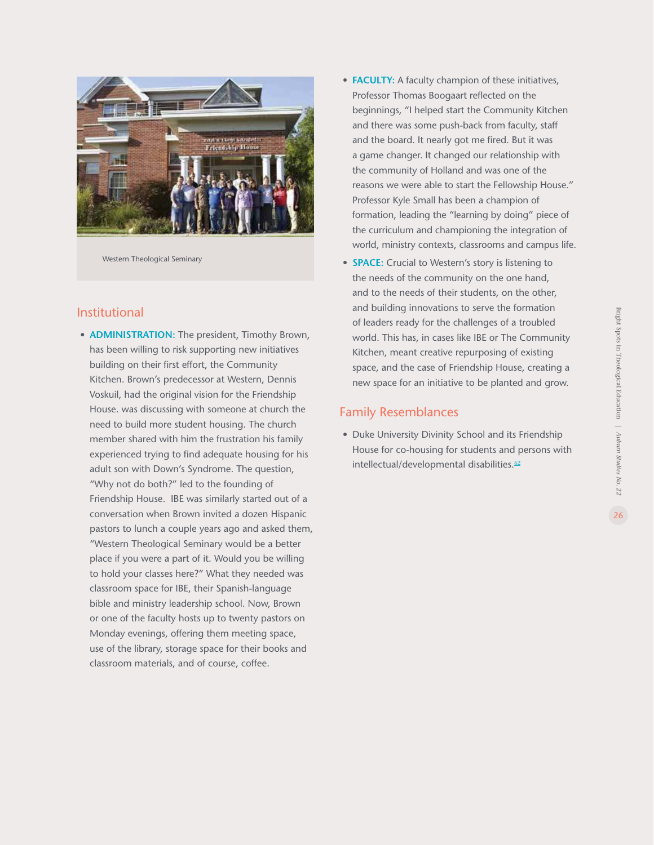

Western Theological Seminary

#### Institutional

- **ADMINISTRATION:** The president, Timothy Brown, has been willing to risk supporting new initiatives building on their first effort, the Community Kitchen. Brown's predecessor at Western, Dennis Voskuil, had the original vision for the Friendship House. was discussing with someone at church the need to build more student housing. The church member shared with him the frustration his family experienced trying to find adequate housing for his adult son with Down's Syndrome. The question, "Why not do both?" led to the founding of Friendship House. IBE was similarly started out of a conversation when Brown invited a dozen Hispanic pastors to lunch a couple years ago and asked them, "Western Theological Seminary would be a better place if you were a part of it. Would you be willing to hold your classes here?" What they needed was classroom space for IBE, their Spanish-language bible and ministry leadership school. Now, Brown or one of the faculty hosts up to twenty pastors on Monday evenings, offering them meeting space, use of the library, storage space for their books and classroom materials, and of course, coffee.
- **FACULTY:** A faculty champion of these initiatives, Professor Thomas Boogaart reflected on the beginnings, "I helped start the Community Kitchen and there was some push-back from faculty, staff and the board. It nearly got me fired. But it was a game changer. It changed our relationship with the community of Holland and was one of the reasons we were able to start the Fellowship House." Professor Kyle Small has been a champion of formation, leading the "learning by doing" piece of the curriculum and championing the integration of world, ministry contexts, classrooms and campus life.
- **SPACE:** Crucial to Western's story is listening to the needs of the community on the one hand, and to the needs of their students, on the other, and building innovations to serve the formation of leaders ready for the challenges of a troubled world. This has, in cases like IBE or The Community Kitchen, meant creative repurposing of existing space, and the case of Friendship House, creating a new space for an initiative to be planted and grow.

#### Family Resemblances

**•** Duke University Divinity School and its Friendship House for co-housing for students and persons with intellectual/developmental disabilities.<sup>[62](#page-45-0)</sup>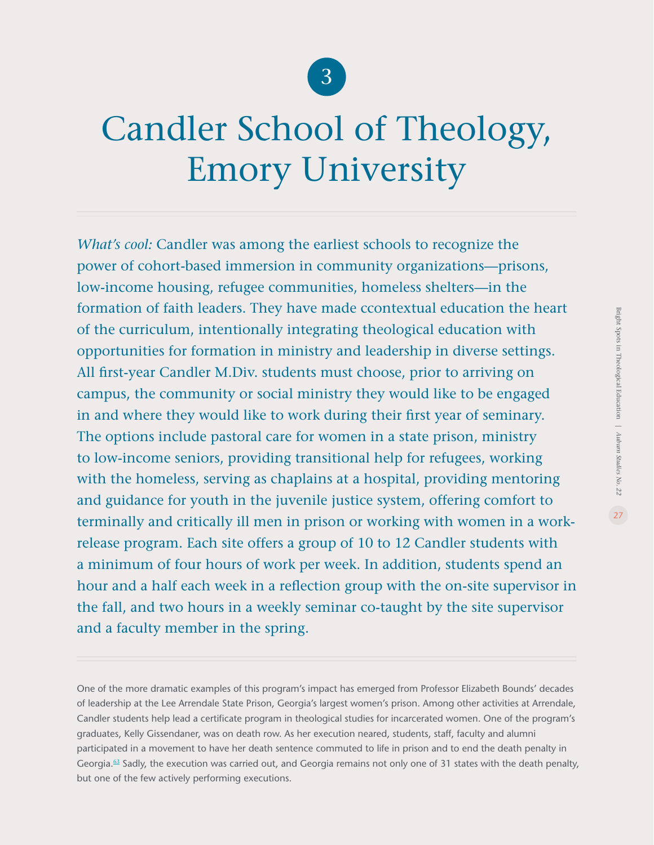

# Candler School of Theology, Emory University

*What's cool:* Candler was among the earliest schools to recognize the power of cohort-based immersion in community organizations—prisons, low-income housing, refugee communities, homeless shelters—in the formation of faith leaders. They have made ccontextual education the heart of the curriculum, intentionally integrating theological education with opportunities for formation in ministry and leadership in diverse settings. All first-year Candler M.Div. students must choose, prior to arriving on campus, the community or social ministry they would like to be engaged in and where they would like to work during their first year of seminary. The options include pastoral care for women in a state prison, ministry to low-income seniors, providing transitional help for refugees, working with the homeless, serving as chaplains at a hospital, providing mentoring and guidance for youth in the juvenile justice system, offering comfort to terminally and critically ill men in prison or working with women in a workrelease program. Each site offers a group of 10 to 12 Candler students with a minimum of four hours of work per week. In addition, students spend an hour and a half each week in a reflection group with the on-site supervisor in the fall, and two hours in a weekly seminar co-taught by the site supervisor and a faculty member in the spring.

One of the more dramatic examples of this program's impact has emerged from Professor Elizabeth Bounds' decades of leadership at the Lee Arrendale State Prison, Georgia's largest women's prison. Among other activities at Arrendale, Candler students help lead a certificate program in theological studies for incarcerated women. One of the program's graduates, Kelly Gissendaner, was on death row. As her execution neared, students, staff, faculty and alumni participated in a movement to have her death sentence commuted to life in prison and to end the death penalty in Georgia.<sup>[6](#page-45-0)3</sup> Sadly, the execution was carried out, and Georgia remains not only one of 31 states with the death penalty, but one of the few actively performing executions.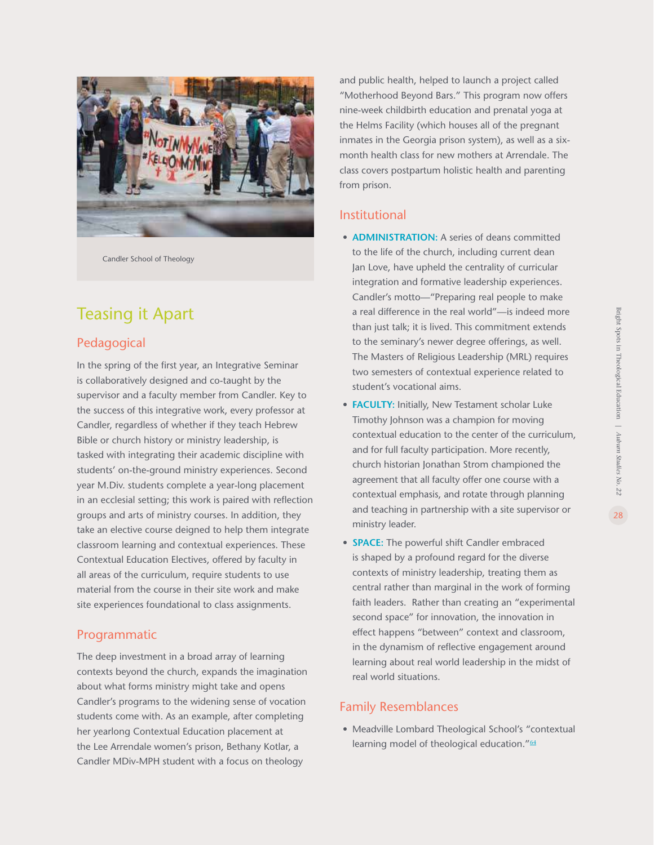

Candler School of Theology

### Teasing it Apart

### Pedagogical

In the spring of the first year, an Integrative Seminar is collaboratively designed and co-taught by the supervisor and a faculty member from Candler. Key to the success of this integrative work, every professor at Candler, regardless of whether if they teach Hebrew Bible or church history or ministry leadership, is tasked with integrating their academic discipline with students' on-the-ground ministry experiences. Second year M.Div. students complete a year-long placement in an ecclesial setting; this work is paired with reflection groups and arts of ministry courses. In addition, they take an elective course deigned to help them integrate classroom learning and contextual experiences. These Contextual Education Electives, offered by faculty in all areas of the curriculum, require students to use material from the course in their site work and make site experiences foundational to class assignments.

#### Programmatic

The deep investment in a broad array of learning contexts beyond the church, expands the imagination about what forms ministry might take and opens Candler's programs to the widening sense of vocation students come with. As an example, after completing her yearlong Contextual Education placement at the Lee Arrendale women's prison, Bethany Kotlar, a Candler MDiv-MPH student with a focus on theology

and public health, helped to launch a project called "Motherhood Beyond Bars." This program now offers nine-week childbirth education and prenatal yoga at the Helms Facility (which houses all of the pregnant inmates in the Georgia prison system), as well as a sixmonth health class for new mothers at Arrendale. The class covers postpartum holistic health and parenting from prison.

#### Institutional

- **ADMINISTRATION:** A series of deans committed to the life of the church, including current dean Jan Love, have upheld the centrality of curricular integration and formative leadership experiences. Candler's motto—"Preparing real people to make a real difference in the real world"—is indeed more than just talk; it is lived. This commitment extends to the seminary's newer degree offerings, as well. The Masters of Religious Leadership (MRL) requires two semesters of contextual experience related to student's vocational aims.
- **FACULTY:** Initially, New Testament scholar Luke Timothy Johnson was a champion for moving contextual education to the center of the curriculum, and for full faculty participation. More recently, church historian Jonathan Strom championed the agreement that all faculty offer one course with a contextual emphasis, and rotate through planning and teaching in partnership with a site supervisor or ministry leader.
- **SPACE:** The powerful shift Candler embraced is shaped by a profound regard for the diverse contexts of ministry leadership, treating them as central rather than marginal in the work of forming faith leaders. Rather than creating an "experimental second space" for innovation, the innovation in effect happens "between" context and classroom, in the dynamism of reflective engagement around learning about real world leadership in the midst of real world situations.

#### Family Resemblances

**•** Meadville Lombard Theological School's "contextual learning model of theological education."<sup>[6](#page-45-0)4</sup>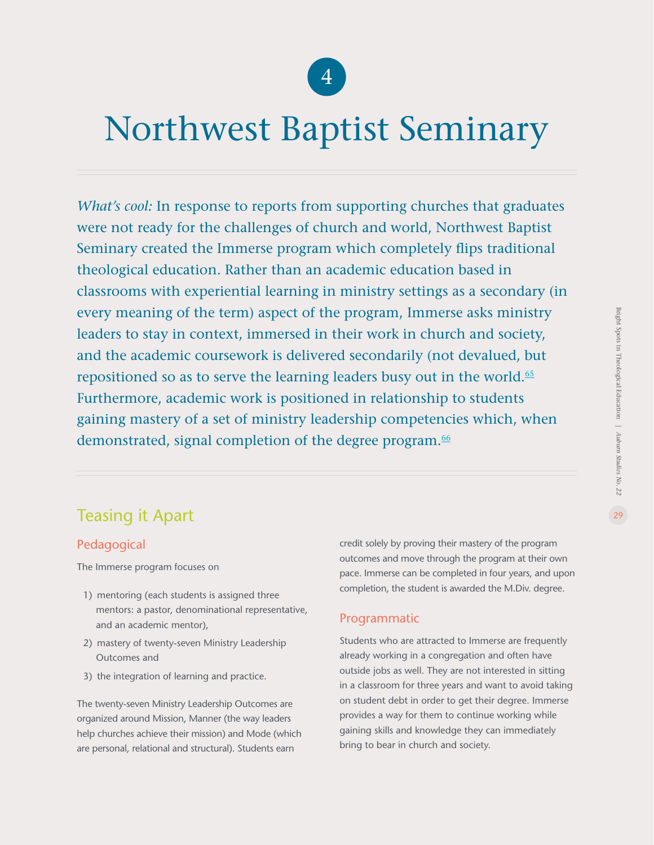

### Northwest Baptist Seminary

*What's cool:* In response to reports from supporting churches that graduates were not ready for the challenges of church and world, Northwest Baptist Seminary created the Immerse program which completely flips traditional theological education. Rather than an academic education based in classrooms with experiential learning in ministry settings as a secondary (in every meaning of the term) aspect of the program, Immerse asks ministry leaders to stay in context, immersed in their work in church and society, and the academic coursework is delivered secondarily (not devalued, but repositioned so as to serve the learning leaders busy out in the world.<sup>[6](#page-45-0)5</sup> Furthermore, academic work is positioned in relationship to students gaining mastery of a set of ministry leadership competencies which, when demonstrated, signal completion of the degree program.<sup>[66](#page-45-0)</sup>

### Teasing it Apart

### Pedagogical

The Immerse program focuses on

- 1) mentoring (each students is assigned three mentors: a pastor, denominational representative, and an academic mentor),
- 2) mastery of twenty-seven Ministry Leadership Outcomes and
- 3) the integration of learning and practice.

The twenty-seven Ministry Leadership Outcomes are organized around Mission, Manner (the way leaders help churches achieve their mission) and Mode (which are personal, relational and structural). Students earn

credit solely by proving their mastery of the program outcomes and move through the program at their own pace. Immerse can be completed in four years, and upon completion, the student is awarded the M.Div. degree.

### Programmatic

Students who are attracted to Immerse are frequently already working in a congregation and often have outside jobs as well. They are not interested in sitting in a classroom for three years and want to avoid taking on student debt in order to get their degree. Immerse provides a way for them to continue working while gaining skills and knowledge they can immediately bring to bear in church and society.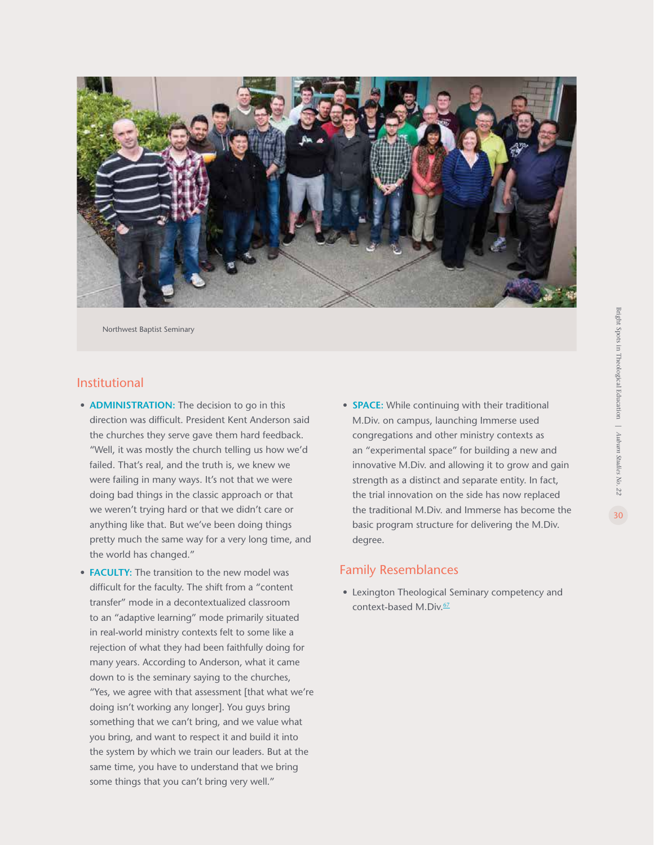

Northwest Baptist Seminary

#### Institutional

- **ADMINISTRATION:** The decision to go in this direction was difficult. President Kent Anderson said the churches they serve gave them hard feedback. "Well, it was mostly the church telling us how we'd failed. That's real, and the truth is, we knew we were failing in many ways. It's not that we were doing bad things in the classic approach or that we weren't trying hard or that we didn't care or anything like that. But we've been doing things pretty much the same way for a very long time, and the world has changed."
- **FACULTY:** The transition to the new model was difficult for the faculty. The shift from a "content transfer" mode in a decontextualized classroom to an "adaptive learning" mode primarily situated in real-world ministry contexts felt to some like a rejection of what they had been faithfully doing for many years. According to Anderson, what it came down to is the seminary saying to the churches, "Yes, we agree with that assessment [that what we're doing isn't working any longer]. You guys bring something that we can't bring, and we value what you bring, and want to respect it and build it into the system by which we train our leaders. But at the same time, you have to understand that we bring some things that you can't bring very well."
- **SPACE:** While continuing with their traditional M.Div. on campus, launching Immerse used congregations and other ministry contexts as an "experimental space" for building a new and innovative M.Div. and allowing it to grow and gain strength as a distinct and separate entity. In fact, the trial innovation on the side has now replaced the traditional M.Div. and Immerse has become the basic program structure for delivering the M.Div. degree.

#### Family Resemblances

**•** Lexington Theological Seminary competency and context-based M.Div.<sup>[6](#page-45-0)7</sup>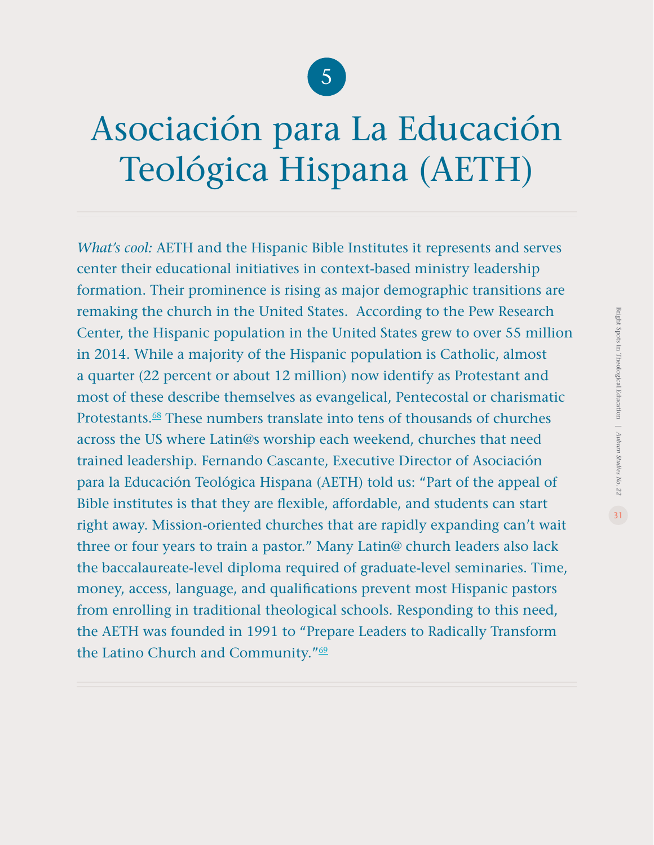### 5

# Asociación para La Educación Teológica Hispana (AETH)

*What's cool:* AETH and the Hispanic Bible Institutes it represents and serves center their educational initiatives in context-based ministry leadership formation. Their prominence is rising as major demographic transitions are remaking the church in the United States. According to the Pew Research Center, the Hispanic population in the United States grew to over 55 million in 2014. While a majority of the Hispanic population is Catholic, almost a quarter (22 percent or about 12 million) now identify as Protestant and most of these describe themselves as evangelical, Pentecostal or charismatic Protestants.[68](#page-45-0) These numbers translate into tens of thousands of churches across the US where Latin@s worship each weekend, churches that need trained leadership. Fernando Cascante, Executive Director of Asociación para la Educación Teológica Hispana (AETH) told us: "Part of the appeal of Bible institutes is that they are flexible, affordable, and students can start right away. Mission-oriented churches that are rapidly expanding can't wait three or four years to train a pastor." Many Latin@ church leaders also lack the baccalaureate-level diploma required of graduate-level seminaries. Time, money, access, language, and qualifications prevent most Hispanic pastors from enrolling in traditional theological schools. Responding to this need, the AETH was founded in 1991 to "Prepare Leaders to Radically Transform the Latino Church and Community."<sup>[69](#page-45-0)</sup>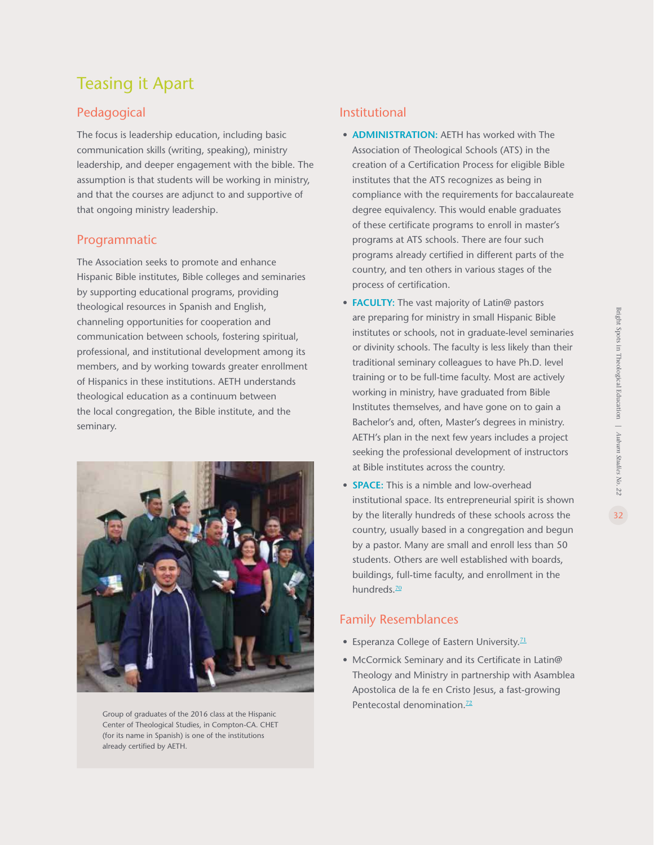### Teasing it Apart

### Pedagogical

The focus is leadership education, including basic communication skills (writing, speaking), ministry leadership, and deeper engagement with the bible. The assumption is that students will be working in ministry, and that the courses are adjunct to and supportive of that ongoing ministry leadership.

### Programmatic

The Association seeks to promote and enhance Hispanic Bible institutes, Bible colleges and seminaries by supporting educational programs, providing theological resources in Spanish and English, channeling opportunities for cooperation and communication between schools, fostering spiritual, professional, and institutional development among its members, and by working towards greater enrollment of Hispanics in these institutions. AETH understands theological education as a continuum between the local congregation, the Bible institute, and the seminary.



Group of graduates of the 2016 class at the Hispanic Center of Theological Studies, in Compton-CA. CHET (for its name in Spanish) is one of the institutions already certified by AETH.

### Institutional

- **ADMINISTRATION:** AETH has worked with The Association of Theological Schools (ATS) in the creation of a Certification Process for eligible Bible institutes that the ATS recognizes as being in compliance with the requirements for baccalaureate degree equivalency. This would enable graduates of these certificate programs to enroll in master's programs at ATS schools. There are four such programs already certified in different parts of the country, and ten others in various stages of the process of certification.
- **FACULTY:** The vast majority of Latin@ pastors are preparing for ministry in small Hispanic Bible institutes or schools, not in graduate-level seminaries or divinity schools. The faculty is less likely than their traditional seminary colleagues to have Ph.D. level training or to be full-time faculty. Most are actively working in ministry, have graduated from Bible Institutes themselves, and have gone on to gain a Bachelor's and, often, Master's degrees in ministry. AETH's plan in the next few years includes a project seeking the professional development of instructors at Bible institutes across the country.
- **SPACE:** This is a nimble and low-overhead institutional space. Its entrepreneurial spirit is shown by the literally hundreds of these schools across the country, usually based in a congregation and begun by a pastor. Many are small and enroll less than 50 students. Others are well established with boards, buildings, full-time faculty, and enrollment in the hundreds.<sup>70</sup>

### Family Resemblances

- Esperanza College of Eastern University.<sup>21</sup>
- McCormick Seminary and its Certificate in Latin@ Theology and Ministry in partnership with Asamblea Apostolica de la fe en Cristo Jesus, a fast-growing Pentecostal denomination.<sup>[7](#page-45-0)2</sup>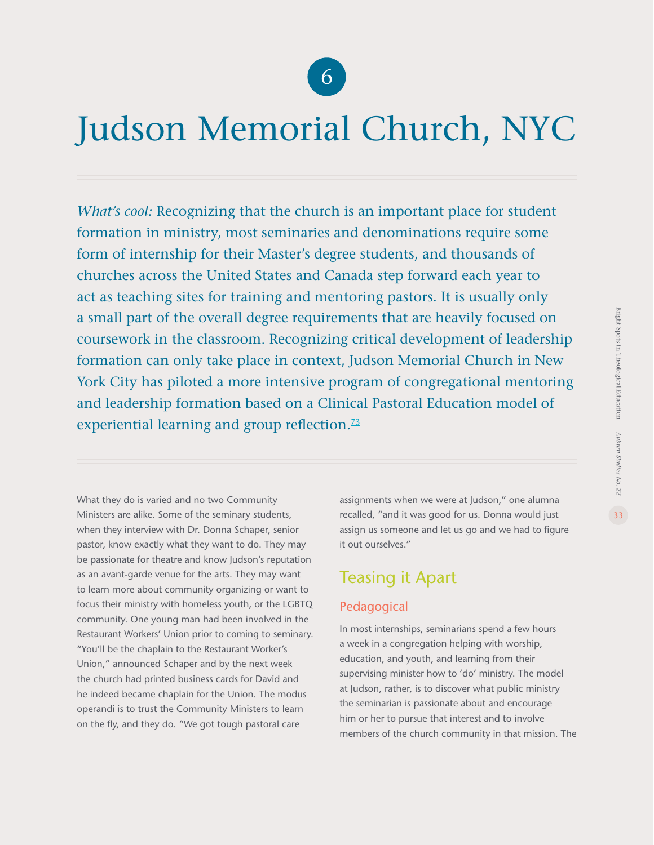

## Judson Memorial Church, NYC

*What's cool:* Recognizing that the church is an important place for student formation in ministry, most seminaries and denominations require some form of internship for their Master's degree students, and thousands of churches across the United States and Canada step forward each year to act as teaching sites for training and mentoring pastors. It is usually only a small part of the overall degree requirements that are heavily focused on coursework in the classroom. Recognizing critical development of leadership formation can only take place in context, Judson Memorial Church in New York City has piloted a more intensive program of congregational mentoring and leadership formation based on a Clinical Pastoral Education model of experiential learning and group reflection.<sup>[73](#page-45-0)</sup>

What they do is varied and no two Community Ministers are alike. Some of the seminary students, when they interview with Dr. Donna Schaper, senior pastor, know exactly what they want to do. They may be passionate for theatre and know Judson's reputation as an avant-garde venue for the arts. They may want to learn more about community organizing or want to focus their ministry with homeless youth, or the LGBTQ community. One young man had been involved in the Restaurant Workers' Union prior to coming to seminary. "You'll be the chaplain to the Restaurant Worker's Union," announced Schaper and by the next week the church had printed business cards for David and he indeed became chaplain for the Union. The modus operandi is to trust the Community Ministers to learn on the fly, and they do. "We got tough pastoral care

assignments when we were at Judson," one alumna recalled, "and it was good for us. Donna would just assign us someone and let us go and we had to figure it out ourselves."

### Teasing it Apart

### Pedagogical

In most internships, seminarians spend a few hours a week in a congregation helping with worship, education, and youth, and learning from their supervising minister how to 'do' ministry. The model at Judson, rather, is to discover what public ministry the seminarian is passionate about and encourage him or her to pursue that interest and to involve members of the church community in that mission. The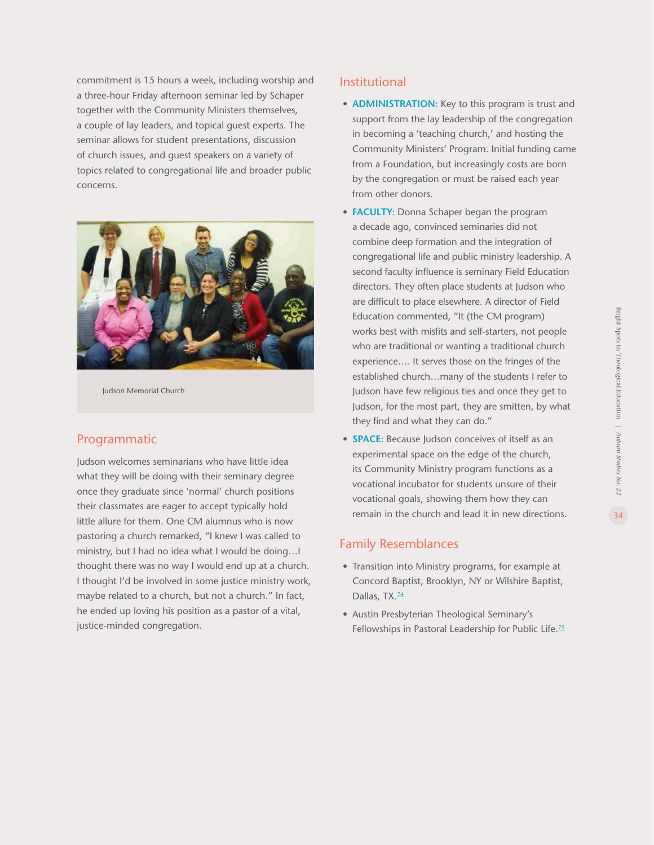commitment is 15 hours a week, including worship and a three-hour Friday afternoon seminar led by Schaper together with the Community Ministers themselves, a couple of lay leaders, and topical guest experts. The seminar allows for student presentations, discussion of church issues, and guest speakers on a variety of topics related to congregational life and broader public concerns.



Judson Memorial Church

#### Programmatic

Judson welcomes seminarians who have little idea what they will be doing with their seminary degree once they graduate since 'normal' church positions their classmates are eager to accept typically hold little allure for them. One CM alumnus who is now pastoring a church remarked, "I knew I was called to ministry, but I had no idea what I would be doing…I thought there was no way I would end up at a church. I thought I'd be involved in some justice ministry work, maybe related to a church, but not a church." In fact, he ended up loving his position as a pastor of a vital, justice-minded congregation.

#### Institutional

- **ADMINISTRATION:** Key to this program is trust and support from the lay leadership of the congregation in becoming a 'teaching church,' and hosting the Community Ministers' Program. Initial funding came from a Foundation, but increasingly costs are born by the congregation or must be raised each year from other donors.
- **FACULTY:** Donna Schaper began the program a decade ago, convinced seminaries did not combine deep formation and the integration of congregational life and public ministry leadership. A second faculty influence is seminary Field Education directors. They often place students at Judson who are difficult to place elsewhere. A director of Field Education commented, "It (the CM program) works best with misfits and self-starters, not people who are traditional or wanting a traditional church experience…. It serves those on the fringes of the established church…many of the students I refer to Judson have few religious ties and once they get to Judson, for the most part, they are smitten, by what they find and what they can do."
- **SPACE:** Because Judson conceives of itself as an experimental space on the edge of the church, its Community Ministry program functions as a vocational incubator for students unsure of their vocational goals, showing them how they can remain in the church and lead it in new directions.

#### Family Resemblances

- Transition into Ministry programs, for example at Concord Baptist, Brooklyn, NY or Wilshire Baptist, Dallas, TX.<sup>[74](#page-45-0)</sup>
- Austin Presbyterian Theological Seminary's Fellowships in Pastoral Leadership for Public Life.<sup>[75](#page-45-0)</sup>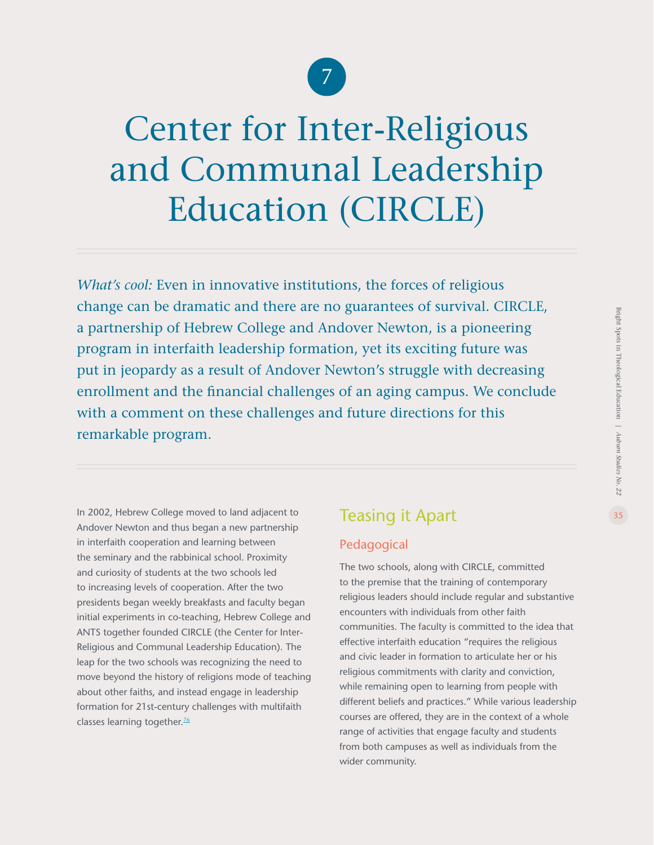

# Center for Inter-Religious and Communal Leadership Education (CIRCLE)

*What's cool:* Even in innovative institutions, the forces of religious change can be dramatic and there are no guarantees of survival. CIRCLE, a partnership of Hebrew College and Andover Newton, is a pioneering program in interfaith leadership formation, yet its exciting future was put in jeopardy as a result of Andover Newton's struggle with decreasing enrollment and the financial challenges of an aging campus. We conclude with a comment on these challenges and future directions for this remarkable program.

In 2002, Hebrew College moved to land adjacent to Andover Newton and thus began a new partnership in interfaith cooperation and learning between the seminary and the rabbinical school. Proximity and curiosity of students at the two schools led to increasing levels of cooperation. After the two presidents began weekly breakfasts and faculty began initial experiments in co-teaching, Hebrew College and ANTS together founded CIRCLE (the Center for Inter-Religious and Communal Leadership Education). The leap for the two schools was recognizing the need to move beyond the history of religions mode of teaching about other faiths, and instead engage in leadership formation for 21st-century challenges with multifaith classes learning together.<sup>[76](#page-45-0)</sup>

### Teasing it Apart

### Pedagogical

The two schools, along with CIRCLE, committed to the premise that the training of contemporary religious leaders should include regular and substantive encounters with individuals from other faith communities. The faculty is committed to the idea that effective interfaith education "requires the religious and civic leader in formation to articulate her or his religious commitments with clarity and conviction, while remaining open to learning from people with different beliefs and practices." While various leadership courses are offered, they are in the context of a whole range of activities that engage faculty and students from both campuses as well as individuals from the wider community.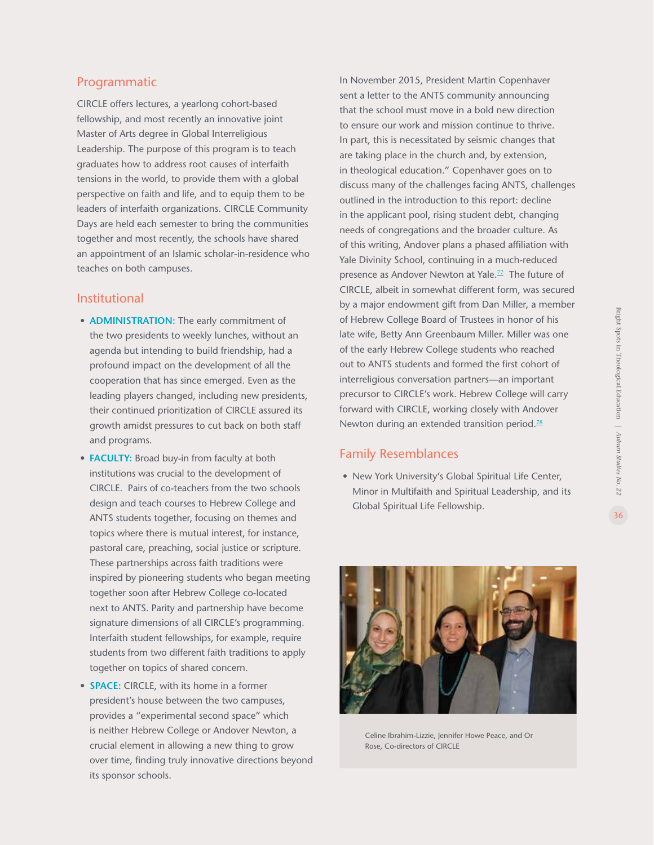fellowship, and most recently an innovative joint Master of Arts degree in Global Interreligious Leadership. The purpose of this program is to teach graduates how to address root causes of interfaith tensions in the world, to provide them with a global perspective on faith and life, and to equip them to be leaders of interfaith organizations. CIRCLE Community Days are held each semester to bring the communities together and most recently, the schools have shared an appointment of an Islamic scholar-in-residence who teaches on both campuses.

### Institutional

Programmatic

- **ADMINISTRATION:** The early commitment of the two presidents to weekly lunches, without an agenda but intending to build friendship, had a profound impact on the development of all the cooperation that has since emerged. Even as the leading players changed, including new presidents, their continued prioritization of CIRCLE assured its growth amidst pressures to cut back on both staff and programs.
- **FACULTY:** Broad buy-in from faculty at both institutions was crucial to the development of CIRCLE. Pairs of co-teachers from the two schools design and teach courses to Hebrew College and ANTS students together, focusing on themes and topics where there is mutual interest, for instance, pastoral care, preaching, social justice or scripture. These partnerships across faith traditions were inspired by pioneering students who began meeting together soon after Hebrew College co-located next to ANTS. Parity and partnership have become signature dimensions of all CIRCLE's programming. Interfaith student fellowships, for example, require students from two different faith traditions to apply together on topics of shared concern.
- **SPACE:** CIRCLE, with its home in a former president's house between the two campuses, provides a "experimental second space" which is neither Hebrew College or Andover Newton, a crucial element in allowing a new thing to grow over time, finding truly innovative directions beyond its sponsor schools.

In November 2015, President Martin Copenhaver sent a letter to the ANTS community announcing that the school must move in a bold new direction to ensure our work and mission continue to thrive. In part, this is necessitated by seismic changes that are taking place in the church and, by extension, in theological education." Copenhaver goes on to discuss many of the challenges facing ANTS, challenges outlined in the introduction to this report: decline in the applicant pool, rising student debt, changing needs of congregations and the broader culture. As of this writing, Andover plans a phased affiliation with Yale Divinity School, continuing in a much-reduced presence as Andover Newton at Yale.<sup>[77](#page-45-0)</sup> The future of CIRCLE, albeit in somewhat different form, was secured by a major endowment gift from Dan Miller, a member of Hebrew College Board of Trustees in honor of his late wife, Betty Ann Greenbaum Miller. Miller was one of the early Hebrew College students who reached out to ANTS students and formed the first cohort of interreligious conversation partners—an important precursor to CIRCLE's work. Hebrew College will carry forward with CIRCLE, working closely with Andover Newton during an extended transition period. $78$  $78$ 

### Family Resemblances

**•** New York University's Global Spiritual Life Center, Minor in Multifaith and Spiritual Leadership, and its Global Spiritual Life Fellowship.



Celine Ibrahim-Lizzie, Jennifer Howe Peace, and Or Rose, Co-directors of CIRCLE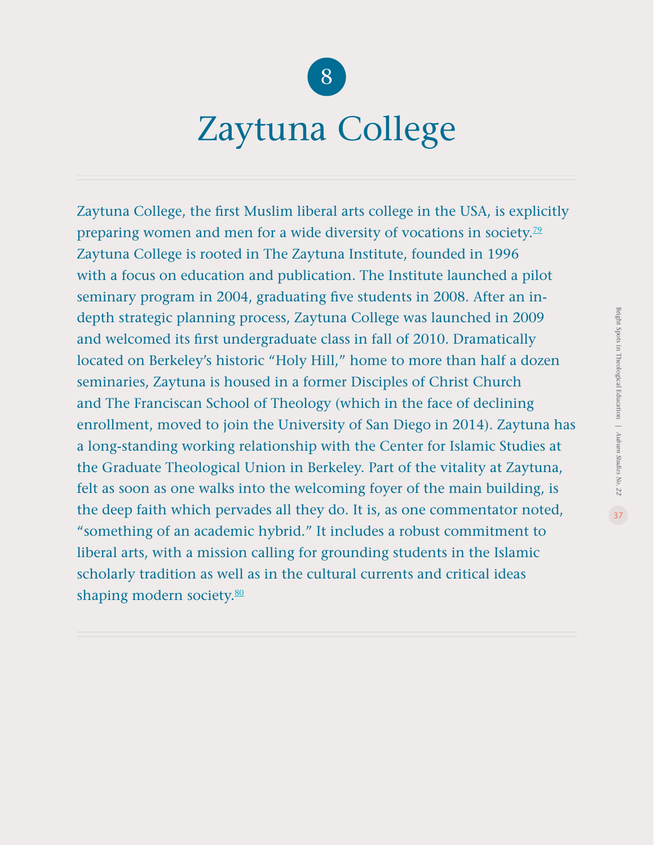

### Zaytuna College

Zaytuna College, the first Muslim liberal arts college in the USA, is explicitly preparing women and men for a wide diversity of vocations in society.<sup>[79](#page-45-0)</sup> Zaytuna College is rooted in The Zaytuna Institute, founded in 1996 with a focus on education and publication. The Institute launched a pilot seminary program in 2004, graduating five students in 2008. After an indepth strategic planning process, Zaytuna College was launched in 2009 and welcomed its first undergraduate class in fall of 2010. Dramatically located on Berkeley's historic "Holy Hill," home to more than half a dozen seminaries, Zaytuna is housed in a former Disciples of Christ Church and The Franciscan School of Theology (which in the face of declining enrollment, moved to join the University of San Diego in 2014). Zaytuna has a long-standing working relationship with the Center for Islamic Studies at the Graduate Theological Union in Berkeley. Part of the vitality at Zaytuna, felt as soon as one walks into the welcoming foyer of the main building, is the deep faith which pervades all they do. It is, as one commentator noted, "something of an academic hybrid." It includes a robust commitment to liberal arts, with a mission calling for grounding students in the Islamic scholarly tradition as well as in the cultural currents and critical ideas shaping modern society.<sup>80</sup>

Bright Spots in Theological Education |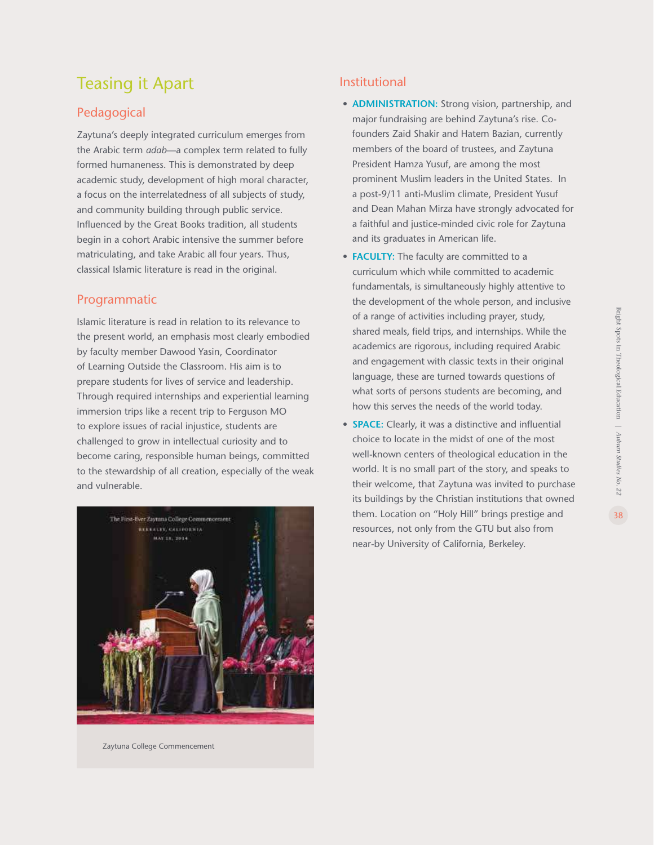### Teasing it Apart

### Pedagogical

Zaytuna's deeply integrated curriculum emerges from the Arabic term *adab*—a complex term related to fully formed humaneness. This is demonstrated by deep academic study, development of high moral character, a focus on the interrelatedness of all subjects of study, and community building through public service. Influenced by the Great Books tradition, all students begin in a cohort Arabic intensive the summer before matriculating, and take Arabic all four years. Thus, classical Islamic literature is read in the original.

#### Programmatic

Islamic literature is read in relation to its relevance to the present world, an emphasis most clearly embodied by faculty member Dawood Yasin, Coordinator of Learning Outside the Classroom. His aim is to prepare students for lives of service and leadership. Through required internships and experiential learning immersion trips like a recent trip to Ferguson MO to explore issues of racial injustice, students are challenged to grow in intellectual curiosity and to become caring, responsible human beings, committed to the stewardship of all creation, especially of the weak and vulnerable.



Zaytuna College Commencement

#### Institutional

- **ADMINISTRATION:** Strong vision, partnership, and major fundraising are behind Zaytuna's rise. Cofounders Zaid Shakir and Hatem Bazian, currently members of the board of trustees, and Zaytuna President Hamza Yusuf, are among the most prominent Muslim leaders in the United States. In a post-9/11 anti-Muslim climate, President Yusuf and Dean Mahan Mirza have strongly advocated for a faithful and justice-minded civic role for Zaytuna and its graduates in American life.
- **FACULTY:** The faculty are committed to a curriculum which while committed to academic fundamentals, is simultaneously highly attentive to the development of the whole person, and inclusive of a range of activities including prayer, study, shared meals, field trips, and internships. While the academics are rigorous, including required Arabic and engagement with classic texts in their original language, these are turned towards questions of what sorts of persons students are becoming, and how this serves the needs of the world today.
- **SPACE:** Clearly, it was a distinctive and influential choice to locate in the midst of one of the most well-known centers of theological education in the world. It is no small part of the story, and speaks to their welcome, that Zaytuna was invited to purchase its buildings by the Christian institutions that owned them. Location on "Holy Hill" brings prestige and resources, not only from the GTU but also from near-by University of California, Berkeley.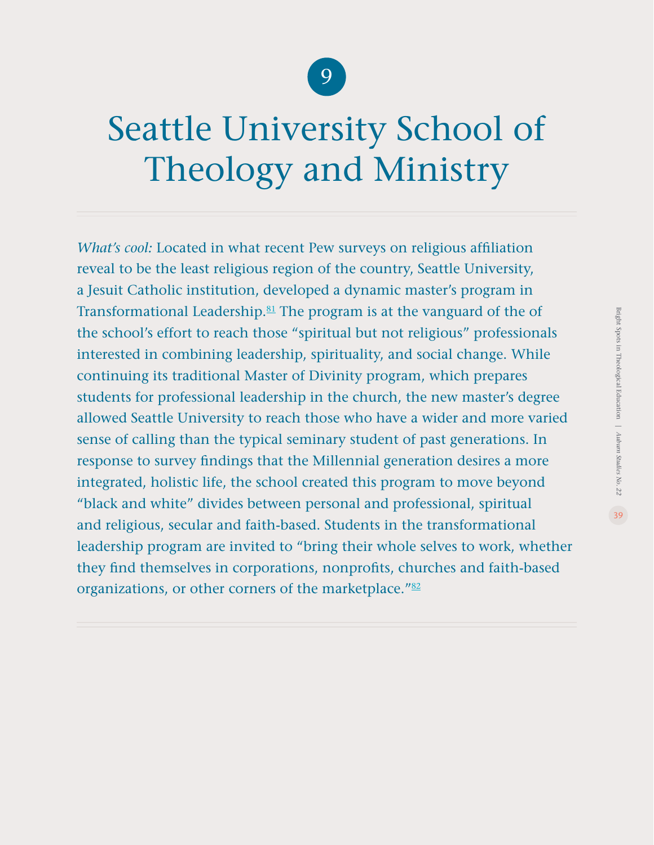

# Seattle University School of Theology and Ministry

*What's cool:* Located in what recent Pew surveys on religious affiliation reveal to be the least religious region of the country, Seattle University, a Jesuit Catholic institution, developed a dynamic master's program in Transformational Leadership. $81$  The program is at the vanguard of the of the school's effort to reach those "spiritual but not religious" professionals interested in combining leadership, spirituality, and social change. While continuing its traditional Master of Divinity program, which prepares students for professional leadership in the church, the new master's degree allowed Seattle University to reach those who have a wider and more varied sense of calling than the typical seminary student of past generations. In response to survey findings that the Millennial generation desires a more integrated, holistic life, the school created this program to move beyond "black and white" divides between personal and professional, spiritual and religious, secular and faith-based. Students in the transformational leadership program are invited to "bring their whole selves to work, whether they find themselves in corporations, nonprofits, churches and faith-based organizations, or other corners of the marketplace."<sup>[82](#page-45-0)</sup>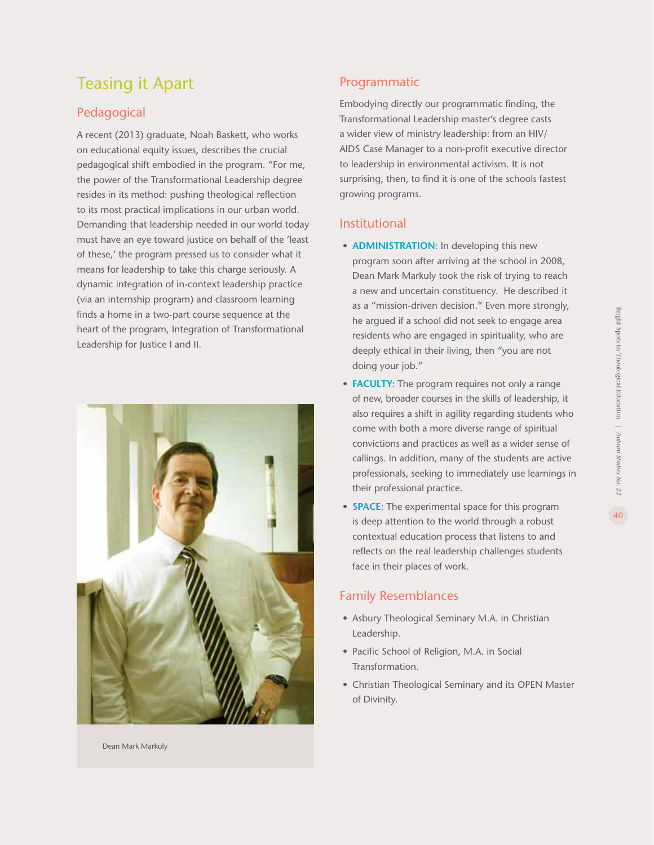### Teasing it Apart

### Pedagogical

A recent (2013) graduate, Noah Baskett, who works on educational equity issues, describes the crucial pedagogical shift embodied in the program. "For me, the power of the Transformational Leadership degree resides in its method: pushing theological reflection to its most practical implications in our urban world. Demanding that leadership needed in our world today must have an eye toward justice on behalf of the 'least of these,' the program pressed us to consider what it means for leadership to take this charge seriously. A dynamic integration of in-context leadership practice (via an internship program) and classroom learning finds a home in a two-part course sequence at the heart of the program, Integration of Transformational Leadership for Justice I and II.



### Programmatic

Embodying directly our programmatic finding, the Transformational Leadership master's degree casts a wider view of ministry leadership: from an HIV/ AIDS Case Manager to a non-profit executive director to leadership in environmental activism. It is not surprising, then, to find it is one of the schools fastest growing programs.

### Institutional

- **ADMINISTRATION:** In developing this new program soon after arriving at the school in 2008, Dean Mark Markuly took the risk of trying to reach a new and uncertain constituency. He described it as a "mission-driven decision." Even more strongly, he argued if a school did not seek to engage area residents who are engaged in spirituality, who are deeply ethical in their living, then "you are not doing your job."
- **FACULTY:** The program requires not only a range of new, broader courses in the skills of leadership, it also requires a shift in agility regarding students who come with both a more diverse range of spiritual convictions and practices as well as a wider sense of callings. In addition, many of the students are active professionals, seeking to immediately use learnings in their professional practice.
- **SPACE:** The experimental space for this program is deep attention to the world through a robust contextual education process that listens to and reflects on the real leadership challenges students face in their places of work.

### Family Resemblances

- Asbury Theological Seminary M.A. in Christian Leadership.
- Pacific School of Religion, M.A. in Social Transformation.
- Christian Theological Seminary and its OPEN Master of Divinity.

Dean Mark Markuly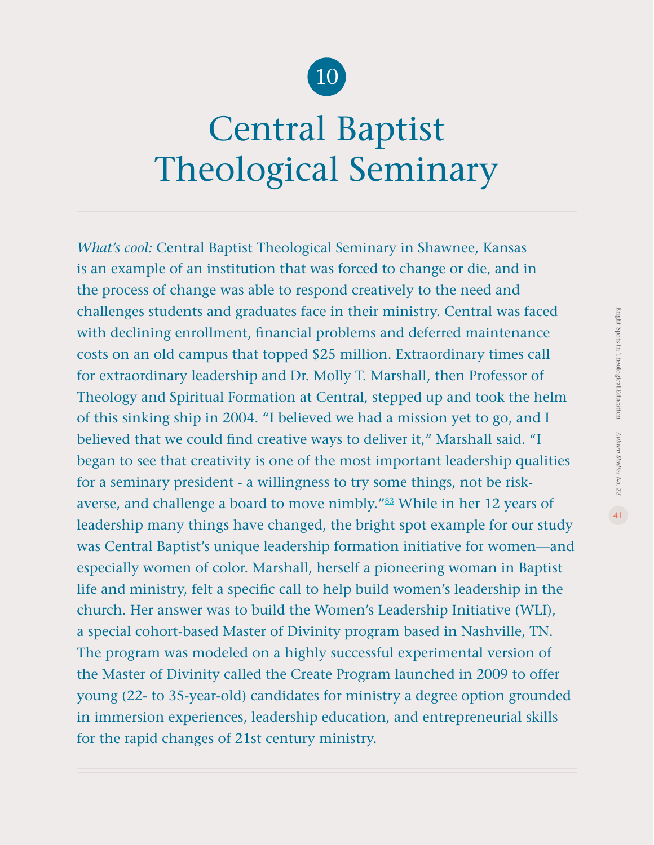

# Central Baptist Theological Seminary

*What's cool:* Central Baptist Theological Seminary in Shawnee, Kansas is an example of an institution that was forced to change or die, and in the process of change was able to respond creatively to the need and challenges students and graduates face in their ministry. Central was faced with declining enrollment, financial problems and deferred maintenance costs on an old campus that topped \$25 million. Extraordinary times call for extraordinary leadership and Dr. Molly T. Marshall, then Professor of Theology and Spiritual Formation at Central, stepped up and took the helm of this sinking ship in 2004. "I believed we had a mission yet to go, and I believed that we could find creative ways to deliver it," Marshall said. "I began to see that creativity is one of the most important leadership qualities for a seminary president - a willingness to try some things, not be risk-averse, and challenge a board to move nimbly."<sup>[83](#page-45-0)</sup> While in her 12 years of leadership many things have changed, the bright spot example for our study was Central Baptist's unique leadership formation initiative for women—and especially women of color. Marshall, herself a pioneering woman in Baptist life and ministry, felt a specific call to help build women's leadership in the church. Her answer was to build the Women's Leadership Initiative (WLI), a special cohort-based Master of Divinity program based in Nashville, TN. The program was modeled on a highly successful experimental version of the Master of Divinity called the Create Program launched in 2009 to offer young (22- to 35-year-old) candidates for ministry a degree option grounded in immersion experiences, leadership education, and entrepreneurial skills for the rapid changes of 21st century ministry.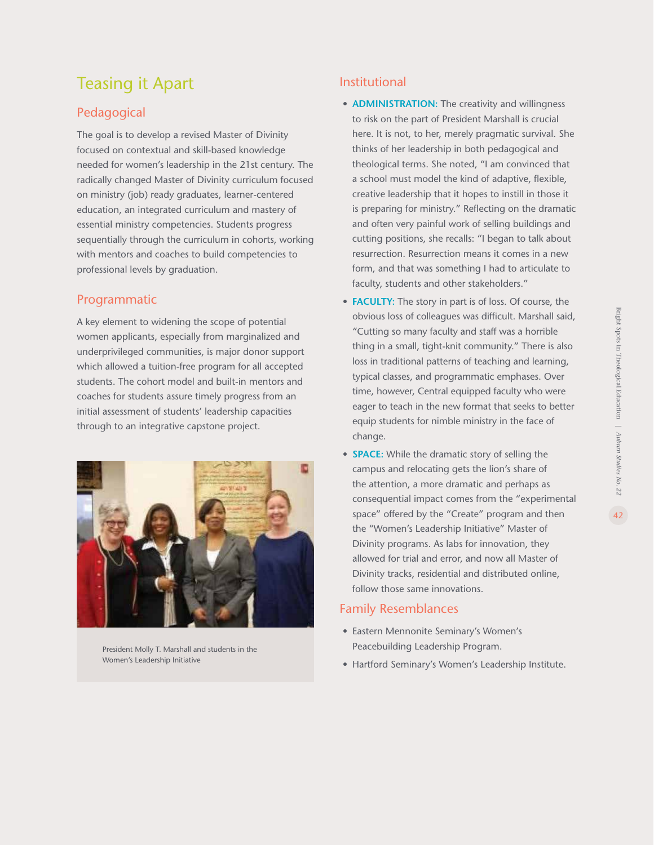### <span id="page-41-0"></span>Teasing it Apart

### Pedagogical

The goal is to develop a revised Master of Divinity focused on contextual and skill-based knowledge needed for women's leadership in the 21st century. The radically changed Master of Divinity curriculum focused on ministry (job) ready graduates, learner-centered education, an integrated curriculum and mastery of essential ministry competencies. Students progress sequentially through the curriculum in cohorts, working with mentors and coaches to build competencies to professional levels by graduation.

#### Programmatic

A key element to widening the scope of potential women applicants, especially from marginalized and underprivileged communities, is major donor support which allowed a tuition-free program for all accepted students. The cohort model and built-in mentors and coaches for students assure timely progress from an initial assessment of students' leadership capacities through to an integrative capstone project.



President Molly T. Marshall and students in the Women's Leadership Initiative

### Institutional

- **ADMINISTRATION:** The creativity and willingness to risk on the part of President Marshall is crucial here. It is not, to her, merely pragmatic survival. She thinks of her leadership in both pedagogical and theological terms. She noted, "I am convinced that a school must model the kind of adaptive, flexible, creative leadership that it hopes to instill in those it is preparing for ministry." Reflecting on the dramatic and often very painful work of selling buildings and cutting positions, she recalls: "I began to talk about resurrection. Resurrection means it comes in a new form, and that was something I had to articulate to faculty, students and other stakeholders."
- **FACULTY:** The story in part is of loss. Of course, the obvious loss of colleagues was difficult. Marshall said, "Cutting so many faculty and staff was a horrible thing in a small, tight-knit community." There is also loss in traditional patterns of teaching and learning, typical classes, and programmatic emphases. Over time, however, Central equipped faculty who were eager to teach in the new format that seeks to better equip students for nimble ministry in the face of change.
- **SPACE:** While the dramatic story of selling the campus and relocating gets the lion's share of the attention, a more dramatic and perhaps as consequential impact comes from the "experimental space" offered by the "Create" program and then the "Women's Leadership Initiative" Master of Divinity programs. As labs for innovation, they allowed for trial and error, and now all Master of Divinity tracks, residential and distributed online, follow those same innovations.

#### Family Resemblances

- Eastern Mennonite Seminary's Women's Peacebuilding Leadership Program.
- Hartford Seminary's Women's Leadership Institute.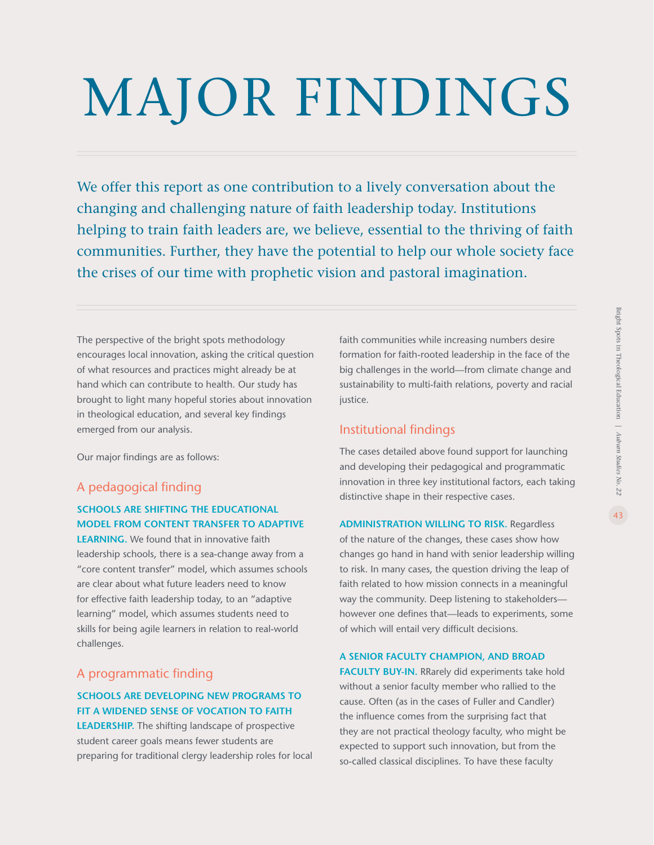# MAJOR FINDINGS

We offer this report as one contribution to a lively conversation about the changing and challenging nature of faith leadership today. Institutions helping to train faith leaders are, we believe, essential to the thriving of faith communities. Further, they have the potential to help our whole society face the crises of our time with prophetic vision and pastoral imagination.

The perspective of the bright spots methodology encourages local innovation, asking the critical question of what resources and practices might already be at hand which can contribute to health. Our study has brought to light many hopeful stories about innovation in theological education, and several key findings emerged from our analysis.

Our major findings are as follows:

### A pedagogical finding

#### **SCHOOLS ARE SHIFTING THE EDUCATIONAL MODEL FROM CONTENT TRANSFER TO ADAPTIVE**

**LEARNING.** We found that in innovative faith leadership schools, there is a sea-change away from a "core content transfer" model, which assumes schools are clear about what future leaders need to know for effective faith leadership today, to an "adaptive learning" model, which assumes students need to skills for being agile learners in relation to real-world challenges.

### A programmatic finding

### **SCHOOLS ARE DEVELOPING NEW PROGRAMS TO FIT A WIDENED SENSE OF VOCATION TO FAITH**

**LEADERSHIP.** The shifting landscape of prospective student career goals means fewer students are preparing for traditional clergy leadership roles for local faith communities while increasing numbers desire formation for faith-rooted leadership in the face of the big challenges in the world—from climate change and sustainability to multi-faith relations, poverty and racial justice.

### Institutional findings

The cases detailed above found support for launching and developing their pedagogical and programmatic innovation in three key institutional factors, each taking distinctive shape in their respective cases.

**ADMINISTRATION WILLING TO RISK.** Regardless of the nature of the changes, these cases show how changes go hand in hand with senior leadership willing to risk. In many cases, the question driving the leap of faith related to how mission connects in a meaningful way the community. Deep listening to stakeholders however one defines that—leads to experiments, some of which will entail very difficult decisions.

#### **A SENIOR FACULTY CHAMPION, AND BROAD**

**FACULTY BUY-IN.** RRarely did experiments take hold without a senior faculty member who rallied to the cause. Often (as in the cases of Fuller and Candler) the influence comes from the surprising fact that they are not practical theology faculty, who might be expected to support such innovation, but from the so-called classical disciplines. To have these faculty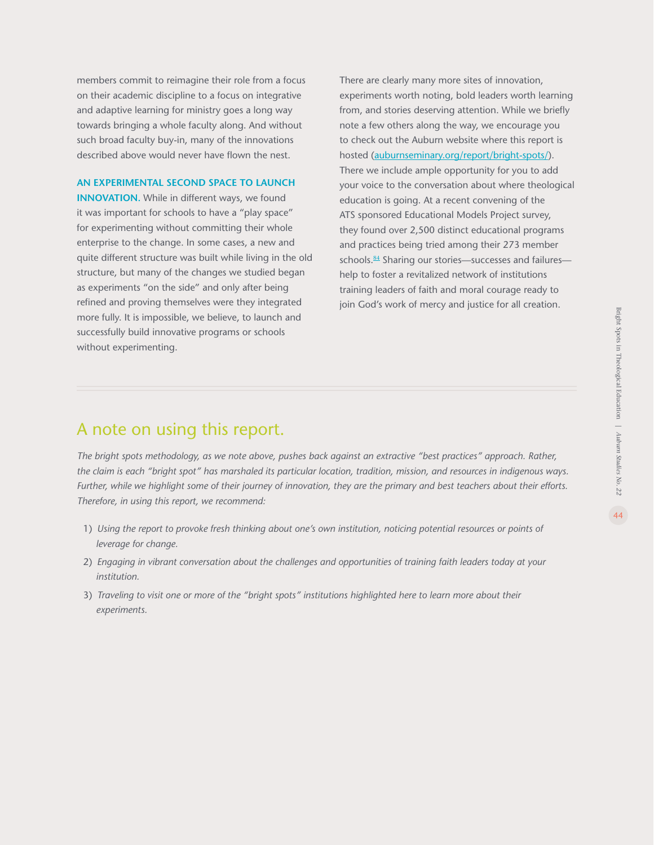<span id="page-43-0"></span>members commit to reimagine their role from a focus on their academic discipline to a focus on integrative and adaptive learning for ministry goes a long way towards bringing a whole faculty along. And without such broad faculty buy-in, many of the innovations described above would never have flown the nest.

#### **AN EXPERIMENTAL SECOND SPACE TO LAUNCH**

**INNOVATION.** While in different ways, we found it was important for schools to have a "play space" for experimenting without committing their whole enterprise to the change. In some cases, a new and quite different structure was built while living in the old structure, but many of the changes we studied began as experiments "on the side" and only after being refined and proving themselves were they integrated more fully. It is impossible, we believe, to launch and successfully build innovative programs or schools without experimenting.

There are clearly many more sites of innovation, experiments worth noting, bold leaders worth learning from, and stories deserving attention. While we briefly note a few others along the way, we encourage you to check out the Auburn website where this report is hosted ([auburnseminary.org/report/bright-spots/](http://auburnseminary.org/report/bright-spots/)). There we include ample opportunity for you to add your voice to the conversation about where theological education is going. At a recent convening of the ATS sponsored Educational Models Project survey, they found over 2,500 distinct educational programs and practices being tried among their 273 member schools.<sup>[84](#page-45-0)</sup> Sharing our stories—successes and failures help to foster a revitalized network of institutions training leaders of faith and moral courage ready to join God's work of mercy and justice for all creation.

### A note on using this report.

*The bright spots methodology, as we note above, pushes back against an extractive "best practices" approach. Rather, the claim is each "bright spot" has marshaled its particular location, tradition, mission, and resources in indigenous ways. Further, while we highlight some of their journey of innovation, they are the primary and best teachers about their efforts. Therefore, in using this report, we recommend:*

- 1) *Using the report to provoke fresh thinking about one's own institution, noticing potential resources or points of leverage for change.*
- 2) *Engaging in vibrant conversation about the challenges and opportunities of training faith leaders today at your institution.*
- 3) *Traveling to visit one or more of the "bright spots" institutions highlighted here to learn more about their experiments.*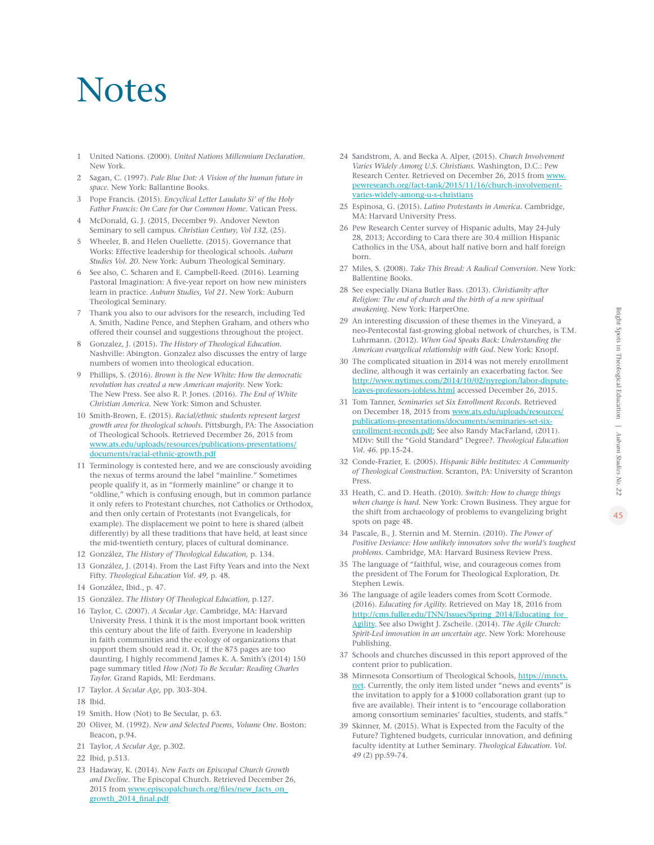### <span id="page-44-0"></span>**Notes**

- 1 United Nations. (2000). *United Nations Millennium Declaration.* New York.
- 2 Sagan, C. (1997). *Pale Blue Dot: A Vision of the human future in space.* New York: Ballantine Books.
- 3 Pope Francis. (2015). *Encyclical Letter Laudato Si' of the Holy Father Francis: On Care for Our Common Home.* Vatican Press.
- 4 McDonald, G. J. (2015, December 9). Andover Newton Seminary to sell campus. *Christian Century, Vol 132,* (25).
- 5 Wheeler, B. and Helen Ouellette. (2015). Governance that Works: Effective leadership for theological schools. *Auburn Studies Vol. 20.* New York: Auburn Theological Seminary.
- 6 See also, C. Scharen and E. Campbell-Reed. (2016). Learning Pastoral Imagination: A five-year report on how new ministers learn in practice. *Auburn Studies, Vol 21.* New York: Auburn Theological Seminary.
- 7 Thank you also to our advisors for the research, including Ted A. Smith, Nadine Pence, and Stephen Graham, and others who offered their counsel and suggestions throughout the project.
- 8 Gonzalez, J. (2015). *The History of Theological Education.* Nashville: Abington. Gonzalez also discusses the entry of large numbers of women into theological education.
- 9 Phillips, S. (2016). *Brown is the New White: How the democratic revolution has created a new American majority.* New York: The New Press. See also R. P. Jones. (2016). *The End of White Christian America.* New York: Simon and Schuster.
- 10 Smith-Brown, E. (2015). *Racial/ethnic students represent largest growth area for theological schools.* Pittsburgh, PA: The Association of Theological Schools. Retrieved December 26, 2015 from [www.ats.edu/uploads/resources/publications-presentations/](http://www.ats.edu/uploads/resources/publications-presentations/documents/racial-ethnic-growth.pdf) [documents/racial-ethnic-growth.pdf](http://www.ats.edu/uploads/resources/publications-presentations/documents/racial-ethnic-growth.pdf)
- 11 Terminology is contested here, and we are consciously avoiding the nexus of terms around the label "mainline." Sometimes people qualify it, as in "formerly mainline" or change it to "oldline," which is confusing enough, but in common parlance it only refers to Protestant churches, not Catholics or Orthodox, and then only certain of Protestants (not Evangelicals, for example). The displacement we point to here is shared (albeit differently) by all these traditions that have held, at least since the mid-twentieth century, places of cultural dominance.
- 12 González, *The History of Theological Education,* p. 134.
- 13 González, J. (2014). From the Last Fifty Years and into the Next Fifty. *Theological Education Vol. 49,* p. 48.
- 14 González, Ibid., p. 47.
- 15 González. *The History Of Theological Education,* p.127.
- 16 Taylor, C. (2007). *A Secular Age.* Cambridge, MA: Harvard University Press. I think it is the most important book written this century about the life of faith. Everyone in leadership in faith communities and the ecology of organizations that support them should read it. Or, if the 875 pages are too daunting, I highly recommend James K. A. Smith's (2014) 150 page summary titled *How (Not) To Be Secular: Reading Charles Taylor.* Grand Rapids, MI: Eerdmans.
- 17 Taylor. *A Secular Age,* pp. 303-304.
- 18 Ibid.
- 19 Smith. How (Not) to Be Secular, p. 63.
- 20 Oliver, M. (1992). *New and Selected Poems, Volume One.* Boston: Beacon, p.94.
- 21 Taylor, *A Secular Age,* p.302.
- 22 Ibid, p.513.
- 23 Hadaway, K. (2014). *New Facts on Episcopal Church Growth and Decline.* The Episcopal Church. Retrieved December 26, 2015 from [www.episcopalchurch.org/files/new\\_facts\\_on\\_](http://www.episcopalchurch.org/files/new_facts_on_growth_2014_final.pdf) [growth\\_2014\\_final.pdf](http://www.episcopalchurch.org/files/new_facts_on_growth_2014_final.pdf)
- 24 Sandstrom, A. and Becka A. Alper, (2015). *Church Involvement Varies Widely Among U.S. Christians.* Washington, D.C.: Pew Research Center. Retrieved on December 26, 2015 from [www.](http://www.pewresearch.org/fact-tank/2015/11/16/church-involvement-varies-widely-among-u-s-christians) [pewresearch.org/fact-tank/2015/11/16/church-involvement](http://www.pewresearch.org/fact-tank/2015/11/16/church-involvement-varies-widely-among-u-s-christians)[varies-widely-among-u-s-christians](http://www.pewresearch.org/fact-tank/2015/11/16/church-involvement-varies-widely-among-u-s-christians)
- 25 Espinosa, G. (2015). *Latino Protestants in America.* Cambridge, MA: Harvard University Press.
- 26 Pew Research Center survey of Hispanic adults, May 24-July 28, 2013; According to Cara there are 30.4 million Hispanic Catholics in the USA, about half native born and half foreign born.
- 27 Miles, S. (2008). *Take This Bread: A Radical Conversion.* New York: Ballentine Books.
- 28 See especially Diana Butler Bass. (2013). *Christianity after Religion: The end of church and the birth of a new spiritual awakening.* New York: HarperOne.
- 29 An interesting discussion of these themes in the Vineyard, a neo-Pentecostal fast-growing global network of churches, is T.M. Luhrmann. (2012). *When God Speaks Back: Understanding the American evangelical relationship with God.* New York: Knopf.
- 30 The complicated situation in 2014 was not merely enrollment decline, although it was certainly an exacerbating factor. See [http://www.nytimes.com/2014/10/02/nyregion/labor-dispute](http://www.nytimes.com/2014/10/02/nyregion/labor-dispute-leaves-professors-jobless.html)[leaves-professors-jobless.html](http://www.nytimes.com/2014/10/02/nyregion/labor-dispute-leaves-professors-jobless.html) accessed December 26, 2015.
- 31 Tom Tanner, *Seminaries set Six Enrollment Records.* Retrieved on December 18, 2015 from [www.ats.edu/uploads/resources/](http://www.ats.edu/uploads/resources/publications-presentations/documents/seminaries-set-six-enrollment-records.pdf) [publications-presentations/documents/seminaries-set-six](http://www.ats.edu/uploads/resources/publications-presentations/documents/seminaries-set-six-enrollment-records.pdf)[enrollment-records.pdf](http://www.ats.edu/uploads/resources/publications-presentations/documents/seminaries-set-six-enrollment-records.pdf); See also Randy MacFarland, (2011). MDiv: Still the "Gold Standard" Degree?. *Theological Education Vol. 46.* pp.15-24.
- 32 Conde-Frazier, E. (2005). *Hispanic Bible Institutes: A Community of Theological Construction.* Scranton, PA: University of Scranton Press.
- 33 Heath, C. and D. Heath. (2010). *Switch: How to change things when change is hard.* New York: Crown Business. They argue for the shift from archaeology of problems to evangelizing bright spots on page 48.
- 34 Pascale, B., J. Sternin and M. Sternin. (2010). *The Power of Positive Deviance: How unlikely innovators solve the world's toughest problems.* Cambridge, MA: Harvard Business Review Press.
- 35 The language of "faithful, wise, and courageous comes from the president of The Forum for Theological Exploration, Dr. Stephen Lewis.
- 36 The language of agile leaders comes from Scott Cormode. (2016). *Educating for Agility.* Retrieved on May 18, 2016 from http://cms.fuller.edu/TNN/Issues/Spring\_2014/Educating\_for [Agility](http://cms.fuller.edu/TNN/Issues/Spring_2014/Educating_for_Agility). See also Dwight J. Zscheile. (2014). *The Agile Church: Spirit-Led innovation in an uncertain age.* New York: Morehouse Publishing.
- 37 Schools and churches discussed in this report approved of the content prior to publication.
- 38 Minnesota Consortium of Theological Schools, [https://mncts.](https://mncts.net) [net.](https://mncts.net) Currently, the only item listed under "news and events" is the invitation to apply for a \$1000 collaboration grant (up to five are available). Their intent is to "encourage collaboration among consortium seminaries' faculties, students, and staffs."
- 39 Skinner, M. (2015). What is Expected from the Faculty of the Future? Tightened budgets, curricular innovation, and defining faculty identity at Luther Seminary. *Theological Education. Vol. 49* (2) pp.59-74.